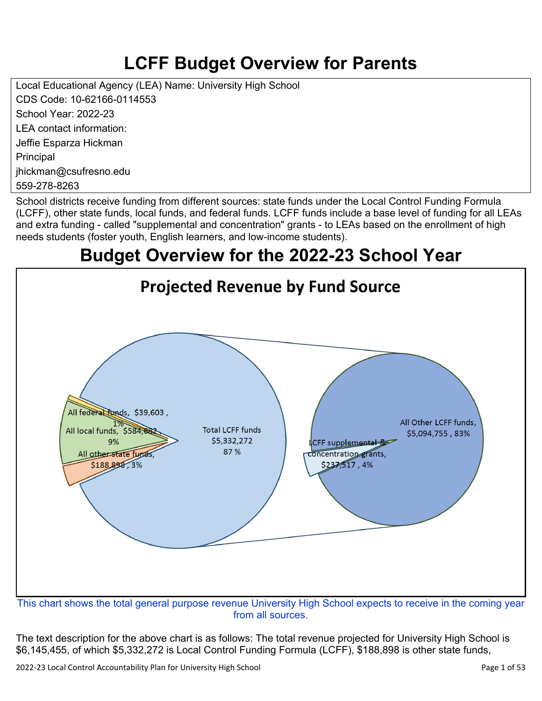# **LCFF Budget Overview for Parents**

Local Educational Agency (LEA) Name: University High School CDS Code: 10-62166-0114553 School Year: 2022-23 LEA contact information: Jeffie Esparza Hickman Principal jhickman@csufresno.edu 559-278-8263

School districts receive funding from different sources: state funds under the Local Control Funding Formula (LCFF), other state funds, local funds, and federal funds. LCFF funds include a base level of funding for all LEAs and extra funding - called "supplemental and concentration" grants - to LEAs based on the enrollment of high needs students (foster youth, English learners, and low-income students).

## **Budget Overview for the 2022-23 School Year**



from all sources.

The text description for the above chart is as follows: The total revenue projected for University High School is \$6,145,455, of which \$5,332,272 is Local Control Funding Formula (LCFF), \$188,898 is other state funds,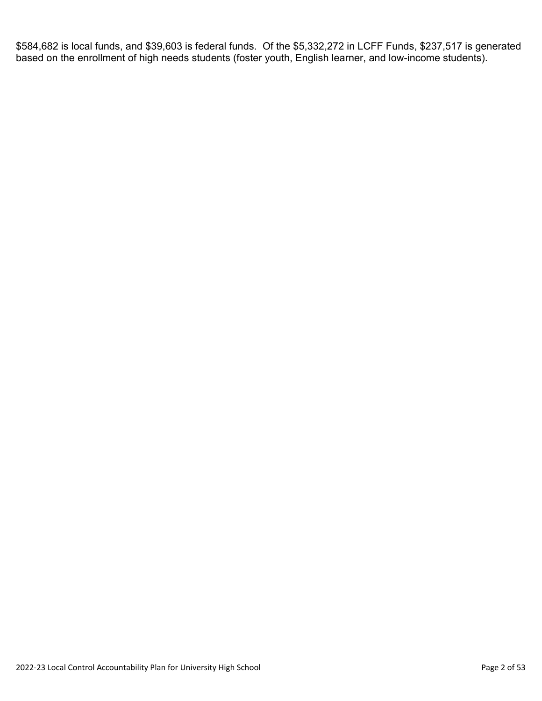\$584,682 is local funds, and \$39,603 is federal funds. Of the \$5,332,272 in LCFF Funds, \$237,517 is generated based on the enrollment of high needs students (foster youth, English learner, and low-income students).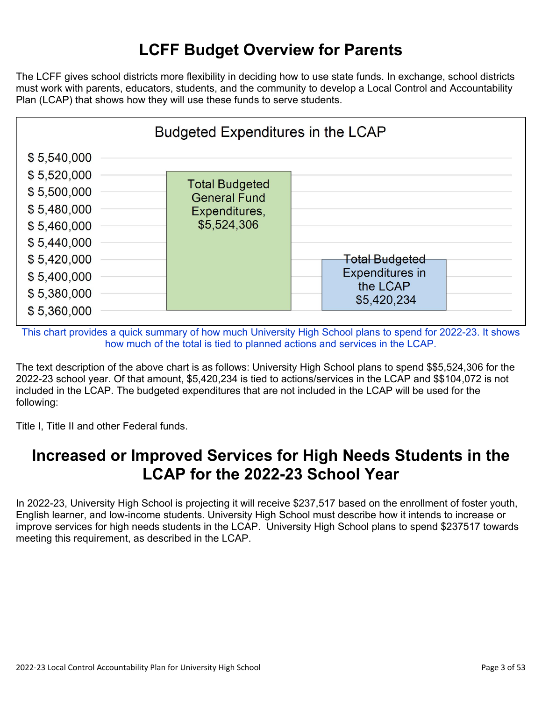## **LCFF Budget Overview for Parents**

The LCFF gives school districts more flexibility in deciding how to use state funds. In exchange, school districts must work with parents, educators, students, and the community to develop a Local Control and Accountability Plan (LCAP) that shows how they will use these funds to serve students.



This chart provides a quick summary of how much University High School plans to spend for 2022-23. It shows how much of the total is tied to planned actions and services in the LCAP.

The text description of the above chart is as follows: University High School plans to spend \$\$5,524,306 for the 2022-23 school year. Of that amount, \$5,420,234 is tied to actions/services in the LCAP and \$\$104,072 is not included in the LCAP. The budgeted expenditures that are not included in the LCAP will be used for the following:

Title I, Title II and other Federal funds.

### **Increased or Improved Services for High Needs Students in the LCAP for the 2022-23 School Year**

In 2022-23, University High School is projecting it will receive \$237,517 based on the enrollment of foster youth, English learner, and low-income students. University High School must describe how it intends to increase or improve services for high needs students in the LCAP. University High School plans to spend \$237517 towards meeting this requirement, as described in the LCAP.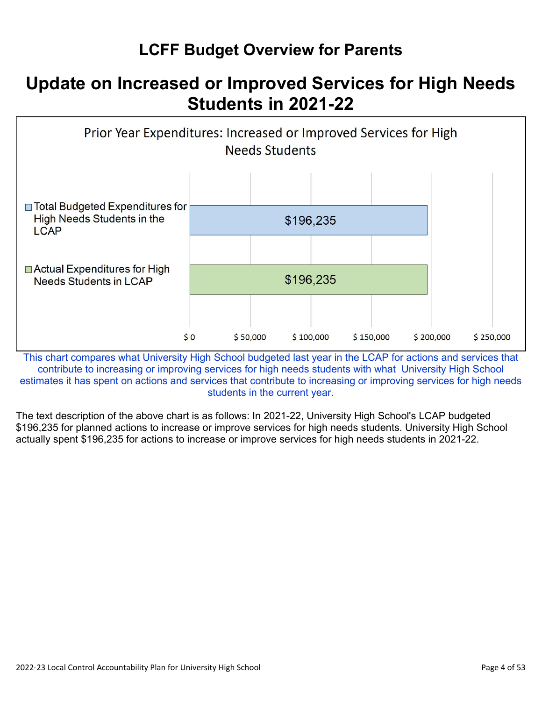## **LCFF Budget Overview for Parents**

## **Update on Increased or Improved Services for High Needs Students in 2021-22**



This chart compares what University High School budgeted last year in the LCAP for actions and services that contribute to increasing or improving services for high needs students with what University High School estimates it has spent on actions and services that contribute to increasing or improving services for high needs students in the current year.

The text description of the above chart is as follows: In 2021-22, University High School's LCAP budgeted \$196,235 for planned actions to increase or improve services for high needs students. University High School actually spent \$196,235 for actions to increase or improve services for high needs students in 2021-22.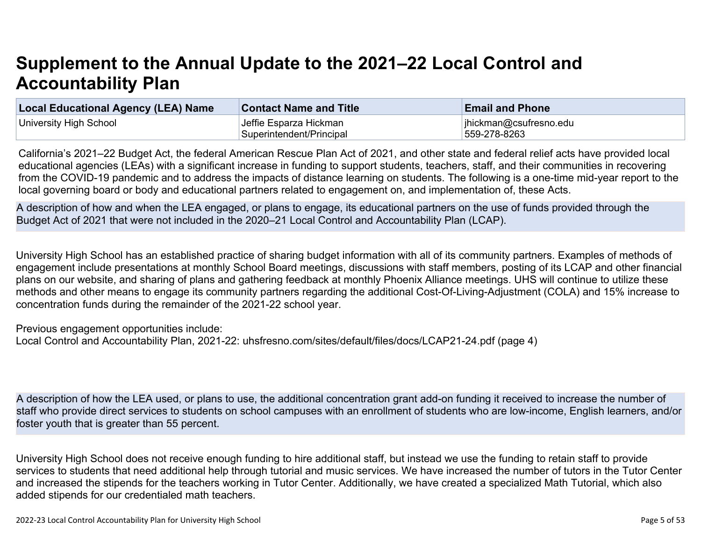# **Supplement to the Annual Update to the 2021–22 Local Control and Accountability Plan**

| Local Educational Agency (LEA) Name | <b>Contact Name and Title</b> | <b>Email and Phone</b> |
|-------------------------------------|-------------------------------|------------------------|
| University High School              | Jeffie Esparza Hickman        | ihickman@csufresno.edu |
|                                     | Superintendent/Principal      | 559-278-8263           |

California's 2021–22 Budget Act, the federal American Rescue Plan Act of 2021, and other state and federal relief acts have provided local educational agencies (LEAs) with a significant increase in funding to support students, teachers, staff, and their communities in recovering from the COVID-19 pandemic and to address the impacts of distance learning on students. The following is a one-time mid-year report to the local governing board or body and educational partners related to engagement on, and implementation of, these Acts.

A description of how and when the LEA engaged, or plans to engage, its educational partners on the use of funds provided through the Budget Act of 2021 that were not included in the 2020–21 Local Control and Accountability Plan (LCAP).

University High School has an established practice of sharing budget information with all of its community partners. Examples of methods of engagement include presentations at monthly School Board meetings, discussions with staff members, posting of its LCAP and other financial plans on our website, and sharing of plans and gathering feedback at monthly Phoenix Alliance meetings. UHS will continue to utilize these methods and other means to engage its community partners regarding the additional Cost-Of-Living-Adjustment (COLA) and 15% increase to concentration funds during the remainder of the 2021-22 school year.

Previous engagement opportunities include:

Local Control and Accountability Plan, 2021-22: uhsfresno.com/sites/default/files/docs/LCAP21-24.pdf (page 4)

A description of how the LEA used, or plans to use, the additional concentration grant add-on funding it received to increase the number of staff who provide direct services to students on school campuses with an enrollment of students who are low-income, English learners, and/or foster youth that is greater than 55 percent.

University High School does not receive enough funding to hire additional staff, but instead we use the funding to retain staff to provide services to students that need additional help through tutorial and music services. We have increased the number of tutors in the Tutor Center and increased the stipends for the teachers working in Tutor Center. Additionally, we have created a specialized Math Tutorial, which also added stipends for our credentialed math teachers.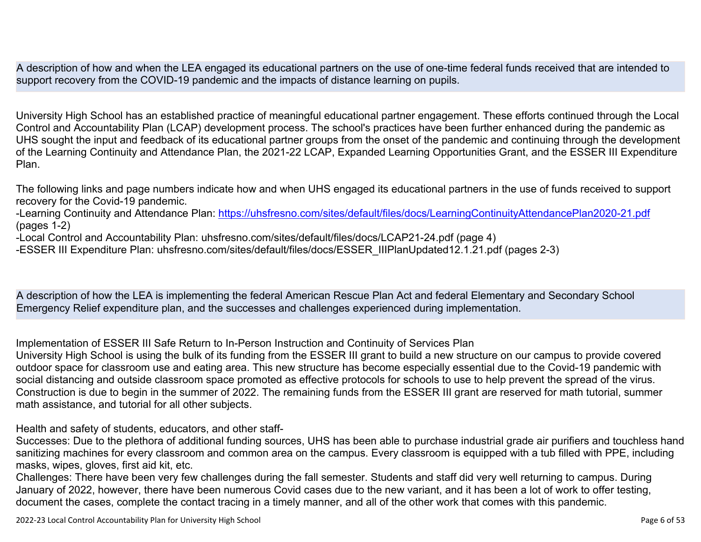A description of how and when the LEA engaged its educational partners on the use of one-time federal funds received that are intended to support recovery from the COVID-19 pandemic and the impacts of distance learning on pupils.

University High School has an established practice of meaningful educational partner engagement. These efforts continued through the Local Control and Accountability Plan (LCAP) development process. The school's practices have been further enhanced during the pandemic as UHS sought the input and feedback of its educational partner groups from the onset of the pandemic and continuing through the development of the Learning Continuity and Attendance Plan, the 2021-22 LCAP, Expanded Learning Opportunities Grant, and the ESSER III Expenditure Plan.

The following links and page numbers indicate how and when UHS engaged its educational partners in the use of funds received to support recovery for the Covid-19 pandemic.

-Learning Continuity and Attendance Plan: <https://uhsfresno.com/sites/default/files/docs/LearningContinuityAttendancePlan2020-21.pdf> (pages 1-2)

-Local Control and Accountability Plan: uhsfresno.com/sites/default/files/docs/LCAP21-24.pdf (page 4)

-ESSER III Expenditure Plan: uhsfresno.com/sites/default/files/docs/ESSER\_IIIPlanUpdated12.1.21.pdf (pages 2-3)

A description of how the LEA is implementing the federal American Rescue Plan Act and federal Elementary and Secondary School Emergency Relief expenditure plan, and the successes and challenges experienced during implementation.

Implementation of ESSER III Safe Return to In-Person Instruction and Continuity of Services Plan

University High School is using the bulk of its funding from the ESSER III grant to build a new structure on our campus to provide covered outdoor space for classroom use and eating area. This new structure has become especially essential due to the Covid-19 pandemic with social distancing and outside classroom space promoted as effective protocols for schools to use to help prevent the spread of the virus. Construction is due to begin in the summer of 2022. The remaining funds from the ESSER III grant are reserved for math tutorial, summer math assistance, and tutorial for all other subjects.

Health and safety of students, educators, and other staff-

Successes: Due to the plethora of additional funding sources, UHS has been able to purchase industrial grade air purifiers and touchless hand sanitizing machines for every classroom and common area on the campus. Every classroom is equipped with a tub filled with PPE, including masks, wipes, gloves, first aid kit, etc.

Challenges: There have been very few challenges during the fall semester. Students and staff did very well returning to campus. During January of 2022, however, there have been numerous Covid cases due to the new variant, and it has been a lot of work to offer testing, document the cases, complete the contact tracing in a timely manner, and all of the other work that comes with this pandemic.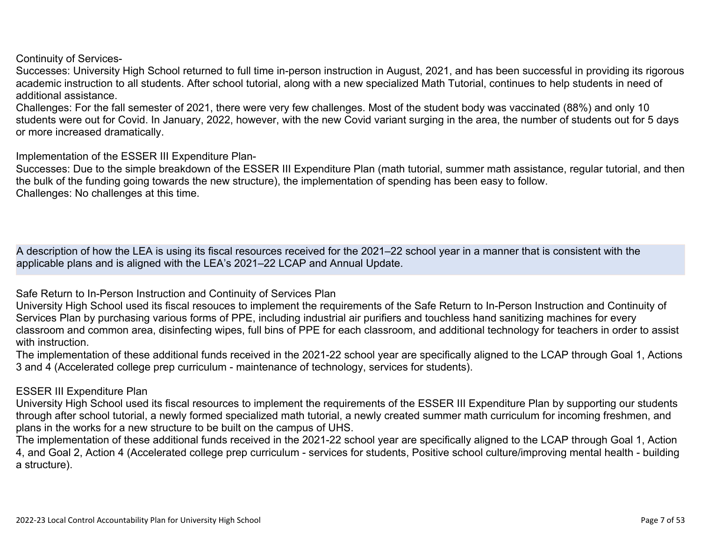Continuity of Services-

Successes: University High School returned to full time in-person instruction in August, 2021, and has been successful in providing its rigorous academic instruction to all students. After school tutorial, along with a new specialized Math Tutorial, continues to help students in need of additional assistance.

Challenges: For the fall semester of 2021, there were very few challenges. Most of the student body was vaccinated (88%) and only 10 students were out for Covid. In January, 2022, however, with the new Covid variant surging in the area, the number of students out for 5 days or more increased dramatically.

Implementation of the ESSER III Expenditure Plan-

Successes: Due to the simple breakdown of the ESSER III Expenditure Plan (math tutorial, summer math assistance, regular tutorial, and then the bulk of the funding going towards the new structure), the implementation of spending has been easy to follow. Challenges: No challenges at this time.

A description of how the LEA is using its fiscal resources received for the 2021–22 school year in a manner that is consistent with the applicable plans and is aligned with the LEA's 2021–22 LCAP and Annual Update.

Safe Return to In-Person Instruction and Continuity of Services Plan

University High School used its fiscal resouces to implement the requirements of the Safe Return to In-Person Instruction and Continuity of Services Plan by purchasing various forms of PPE, including industrial air purifiers and touchless hand sanitizing machines for every classroom and common area, disinfecting wipes, full bins of PPE for each classroom, and additional technology for teachers in order to assist with instruction.

The implementation of these additional funds received in the 2021-22 school year are specifically aligned to the LCAP through Goal 1, Actions 3 and 4 (Accelerated college prep curriculum - maintenance of technology, services for students).

#### ESSER III Expenditure Plan

University High School used its fiscal resources to implement the requirements of the ESSER III Expenditure Plan by supporting our students through after school tutorial, a newly formed specialized math tutorial, a newly created summer math curriculum for incoming freshmen, and plans in the works for a new structure to be built on the campus of UHS.

The implementation of these additional funds received in the 2021-22 school year are specifically aligned to the LCAP through Goal 1, Action 4, and Goal 2, Action 4 (Accelerated college prep curriculum - services for students, Positive school culture/improving mental health - building a structure).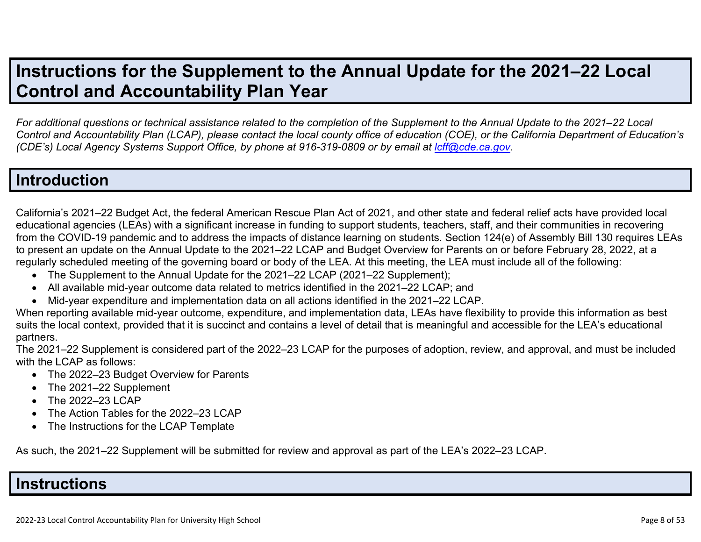## **Instructions for the Supplement to the Annual Update for the 2021–22 Local Control and Accountability Plan Year**

*For additional questions or technical assistance related to the completion of the Supplement to the Annual Update to the 2021–22 Local Control and Accountability Plan (LCAP), please contact the local county office of education (COE), or the California Department of Education's (CDE's)* Local Agency Systems Support Office, by phone at 916-319-0809 or by email at *[lcff@cde.ca.gov](mailto:lcff@cde.ca.gov)*.

### **Introduction**

California's 2021–22 Budget Act, the federal American Rescue Plan Act of 2021, and other state and federal relief acts have provided local educational agencies (LEAs) with a significant increase in funding to support students, teachers, staff, and their communities in recovering from the COVID-19 pandemic and to address the impacts of distance learning on students. Section 124(e) of Assembly Bill 130 requires LEAs to present an update on the Annual Update to the 2021–22 LCAP and Budget Overview for Parents on or before February 28, 2022, at a regularly scheduled meeting of the governing board or body of the LEA. At this meeting, the LEA must include all of the following:

- The Supplement to the Annual Update for the 2021–22 LCAP (2021–22 Supplement);
- All available mid-year outcome data related to metrics identified in the 2021–22 LCAP; and
- Mid-year expenditure and implementation data on all actions identified in the 2021–22 LCAP.

When reporting available mid-year outcome, expenditure, and implementation data, LEAs have flexibility to provide this information as best suits the local context, provided that it is succinct and contains a level of detail that is meaningful and accessible for the LEA's educational partners.

The 2021–22 Supplement is considered part of the 2022–23 LCAP for the purposes of adoption, review, and approval, and must be included with the LCAP as follows:

- The 2022–23 Budget Overview for Parents
- The 2021–22 Supplement
- The 2022-23 LCAP
- The Action Tables for the 2022–23 LCAP
- The Instructions for the LCAP Template

As such, the 2021–22 Supplement will be submitted for review and approval as part of the LEA's 2022–23 LCAP.

### **Instructions**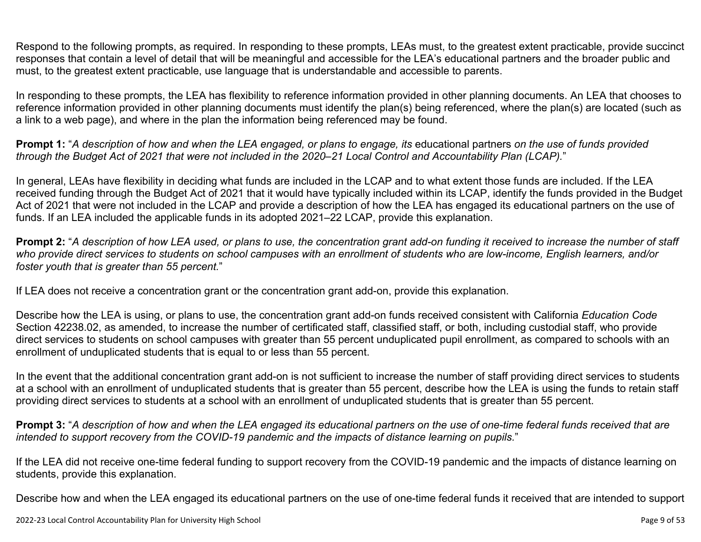Respond to the following prompts, as required. In responding to these prompts, LEAs must, to the greatest extent practicable, provide succinct responses that contain a level of detail that will be meaningful and accessible for the LEA's educational partners and the broader public and must, to the greatest extent practicable, use language that is understandable and accessible to parents.

In responding to these prompts, the LEA has flexibility to reference information provided in other planning documents. An LEA that chooses to reference information provided in other planning documents must identify the plan(s) being referenced, where the plan(s) are located (such as a link to a web page), and where in the plan the information being referenced may be found.

**Prompt 1:** "*A description of how and when the LEA engaged, or plans to engage, its* educational partners *on the use of funds provided through the Budget Act of 2021 that were not included in the 2020–21 Local Control and Accountability Plan (LCAP).*"

In general, LEAs have flexibility in deciding what funds are included in the LCAP and to what extent those funds are included. If the LEA received funding through the Budget Act of 2021 that it would have typically included within its LCAP, identify the funds provided in the Budget Act of 2021 that were not included in the LCAP and provide a description of how the LEA has engaged its educational partners on the use of funds. If an LEA included the applicable funds in its adopted 2021–22 LCAP, provide this explanation.

**Prompt 2:** "*A description of how LEA used, or plans to use, the concentration grant add-on funding it received to increase the number of staff who provide direct services to students on school campuses with an enrollment of students who are low-income, English learners, and/or foster youth that is greater than 55 percent.*"

If LEA does not receive a concentration grant or the concentration grant add-on, provide this explanation.

Describe how the LEA is using, or plans to use, the concentration grant add-on funds received consistent with California *Education Code* Section 42238.02, as amended, to increase the number of certificated staff, classified staff, or both, including custodial staff, who provide direct services to students on school campuses with greater than 55 percent unduplicated pupil enrollment, as compared to schools with an enrollment of unduplicated students that is equal to or less than 55 percent.

In the event that the additional concentration grant add-on is not sufficient to increase the number of staff providing direct services to students at a school with an enrollment of unduplicated students that is greater than 55 percent, describe how the LEA is using the funds to retain staff providing direct services to students at a school with an enrollment of unduplicated students that is greater than 55 percent.

**Prompt 3:** "*A description of how and when the LEA engaged its educational partners on the use of one-time federal funds received that are intended to support recovery from the COVID-19 pandemic and the impacts of distance learning on pupils.*"

If the LEA did not receive one-time federal funding to support recovery from the COVID-19 pandemic and the impacts of distance learning on students, provide this explanation.

Describe how and when the LEA engaged its educational partners on the use of one-time federal funds it received that are intended to support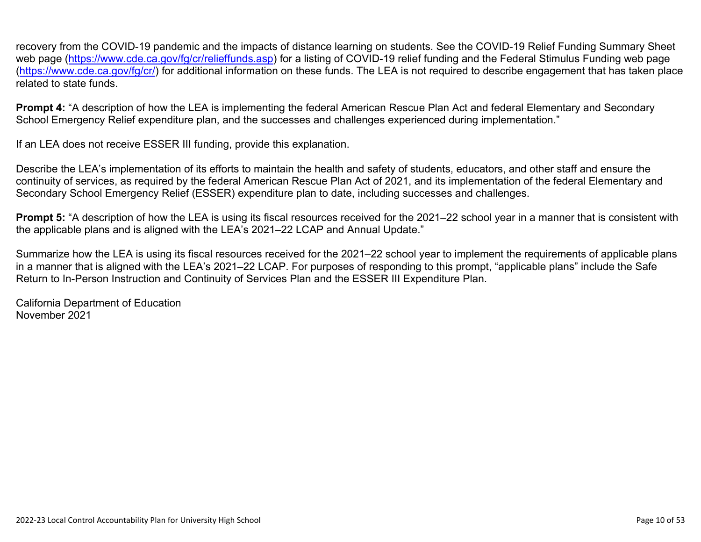recovery from the COVID-19 pandemic and the impacts of distance learning on students. See the COVID-19 Relief Funding Summary Sheet web page [\(https://www.cde.ca.gov/fg/cr/relieffunds.asp\)](https://www.cde.ca.gov/fg/cr/relieffunds.asp) for a listing of COVID-19 relief funding and the Federal Stimulus Funding web page (<https://www.cde.ca.gov/fg/cr/>) for additional information on these funds. The LEA is not required to describe engagement that has taken place related to state funds.

**Prompt 4:** "A description of how the LEA is implementing the federal American Rescue Plan Act and federal Elementary and Secondary School Emergency Relief expenditure plan, and the successes and challenges experienced during implementation."

If an LEA does not receive ESSER III funding, provide this explanation.

Describe the LEA's implementation of its efforts to maintain the health and safety of students, educators, and other staff and ensure the continuity of services, as required by the federal American Rescue Plan Act of 2021, and its implementation of the federal Elementary and Secondary School Emergency Relief (ESSER) expenditure plan to date, including successes and challenges.

**Prompt 5:** "A description of how the LEA is using its fiscal resources received for the 2021–22 school year in a manner that is consistent with the applicable plans and is aligned with the LEA's 2021–22 LCAP and Annual Update."

Summarize how the LEA is using its fiscal resources received for the 2021–22 school year to implement the requirements of applicable plans in a manner that is aligned with the LEA's 2021–22 LCAP. For purposes of responding to this prompt, "applicable plans" include the Safe Return to In-Person Instruction and Continuity of Services Plan and the ESSER III Expenditure Plan.

California Department of Education November 2021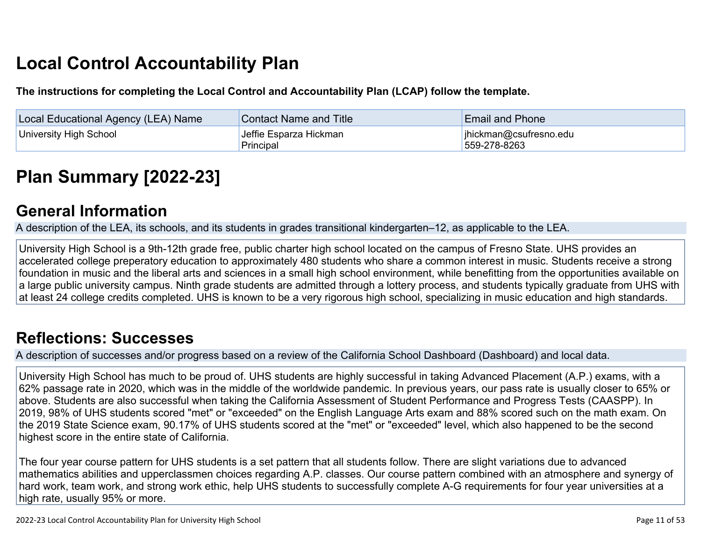# **Local Control Accountability Plan**

**The instructions for completing the Local Control and Accountability Plan (LCAP) follow the template.**

| <b>Local Educational Agency (LEA) Name</b> | <b>Contact Name and Title</b>       | <b>Email and Phone</b>                 |
|--------------------------------------------|-------------------------------------|----------------------------------------|
| University High School                     | Jeffie Esparza Hickman<br>Principal | ihickman@csufresno.edu<br>559-278-8263 |

# **[Plan Summary \[2022-23\]](http://www.doc-tracking.com/screenshots/22LCAP/Instructions/22LCAPInstructions.htm#PlanSummary)**

### **[General Information](http://www.doc-tracking.com/screenshots/22LCAP/Instructions/22LCAPInstructions.htm#generalinformation)**

A description of the LEA, its schools, and its students in grades transitional kindergarten–12, as applicable to the LEA.

University High School is a 9th-12th grade free, public charter high school located on the campus of Fresno State. UHS provides an accelerated college preperatory education to approximately 480 students who share a common interest in music. Students receive a strong foundation in music and the liberal arts and sciences in a small high school environment, while benefitting from the opportunities available on a large public university campus. Ninth grade students are admitted through a lottery process, and students typically graduate from UHS with at least 24 college credits completed. UHS is known to be a very rigorous high school, specializing in music education and high standards.

## **[Reflections: Successes](http://www.doc-tracking.com/screenshots/22LCAP/Instructions/22LCAPInstructions.htm#ReflectionsSuccesses)**

A description of successes and/or progress based on a review of the California School Dashboard (Dashboard) and local data.

University High School has much to be proud of. UHS students are highly successful in taking Advanced Placement (A.P.) exams, with a 62% passage rate in 2020, which was in the middle of the worldwide pandemic. In previous years, our pass rate is usually closer to 65% or above. Students are also successful when taking the California Assessment of Student Performance and Progress Tests (CAASPP). In 2019, 98% of UHS students scored "met" or "exceeded" on the English Language Arts exam and 88% scored such on the math exam. On the 2019 State Science exam, 90.17% of UHS students scored at the "met" or "exceeded" level, which also happened to be the second highest score in the entire state of California.

The four year course pattern for UHS students is a set pattern that all students follow. There are slight variations due to advanced mathematics abilities and upperclassmen choices regarding A.P. classes. Our course pattern combined with an atmosphere and synergy of hard work, team work, and strong work ethic, help UHS students to successfully complete A-G requirements for four year universities at a high rate, usually 95% or more.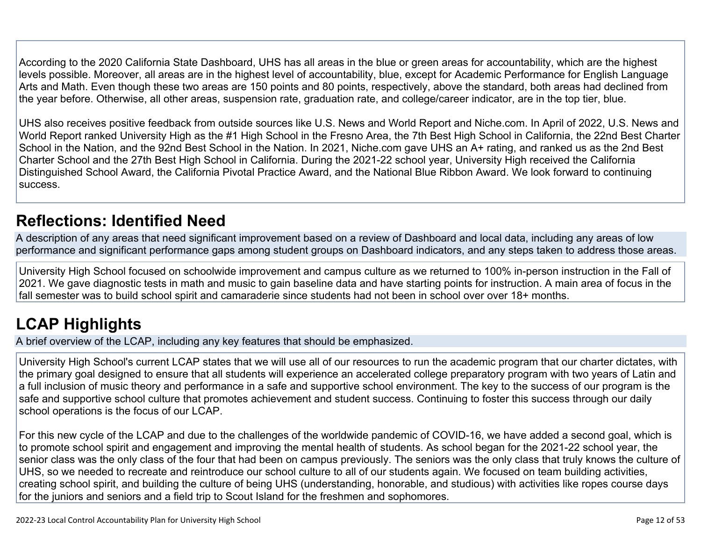According to the 2020 California State Dashboard, UHS has all areas in the blue or green areas for accountability, which are the highest levels possible. Moreover, all areas are in the highest level of accountability, blue, except for Academic Performance for English Language Arts and Math. Even though these two areas are 150 points and 80 points, respectively, above the standard, both areas had declined from the year before. Otherwise, all other areas, suspension rate, graduation rate, and college/career indicator, are in the top tier, blue.

UHS also receives positive feedback from outside sources like U.S. News and World Report and Niche.com. In April of 2022, U.S. News and World Report ranked University High as the #1 High School in the Fresno Area, the 7th Best High School in California, the 22nd Best Charter School in the Nation, and the 92nd Best School in the Nation. In 2021, Niche.com gave UHS an A+ rating, and ranked us as the 2nd Best Charter School and the 27th Best High School in California. During the 2021-22 school year, University High received the California Distinguished School Award, the California Pivotal Practice Award, and the National Blue Ribbon Award. We look forward to continuing success.

## **[Reflections: Identified Need](http://www.doc-tracking.com/screenshots/22LCAP/Instructions/22LCAPInstructions.htm#ReflectionsIdentifiedNeed)**

A description of any areas that need significant improvement based on a review of Dashboard and local data, including any areas of low performance and significant performance gaps among student groups on Dashboard indicators, and any steps taken to address those areas.

University High School focused on schoolwide improvement and campus culture as we returned to 100% in-person instruction in the Fall of 2021. We gave diagnostic tests in math and music to gain baseline data and have starting points for instruction. A main area of focus in the fall semester was to build school spirit and camaraderie since students had not been in school over over 18+ months.

## **[LCAP Highlights](http://www.doc-tracking.com/screenshots/22LCAP/Instructions/22LCAPInstructions.htm#LCAPHighlights)**

A brief overview of the LCAP, including any key features that should be emphasized.

University High School's current LCAP states that we will use all of our resources to run the academic program that our charter dictates, with the primary goal designed to ensure that all students will experience an accelerated college preparatory program with two years of Latin and a full inclusion of music theory and performance in a safe and supportive school environment. The key to the success of our program is the safe and supportive school culture that promotes achievement and student success. Continuing to foster this success through our daily school operations is the focus of our LCAP.

For this new cycle of the LCAP and due to the challenges of the worldwide pandemic of COVID-16, we have added a second goal, which is to promote school spirit and engagement and improving the mental health of students. As school began for the 2021-22 school year, the senior class was the only class of the four that had been on campus previously. The seniors was the only class that truly knows the culture of UHS, so we needed to recreate and reintroduce our school culture to all of our students again. We focused on team building activities, creating school spirit, and building the culture of being UHS (understanding, honorable, and studious) with activities like ropes course days for the juniors and seniors and a field trip to Scout Island for the freshmen and sophomores.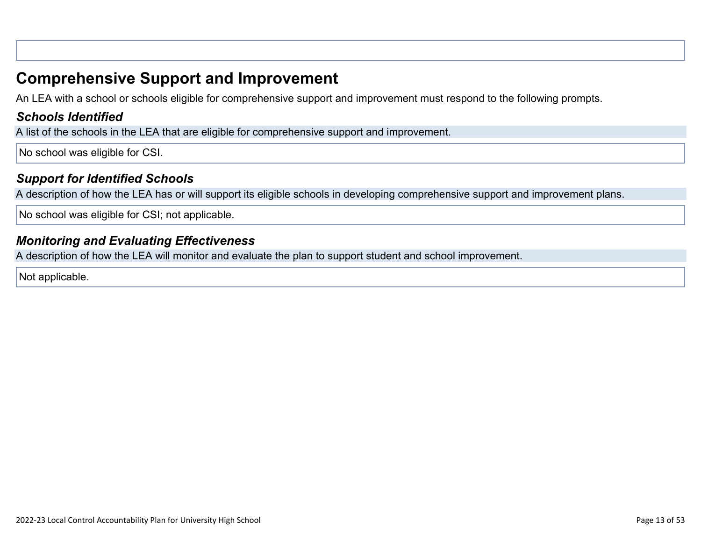## **Comprehensive Support and Improvement**

An LEA with a school or schools eligible for comprehensive support and improvement must respond to the following prompts.

### *[Schools Identified](http://www.doc-tracking.com/screenshots/22LCAP/Instructions/22LCAPInstructions.htm#SchoolsIdentified)*

A list of the schools in the LEA that are eligible for comprehensive support and improvement.

No school was eligible for CSI.

### *[Support for Identified Schools](http://www.doc-tracking.com/screenshots/22LCAP/Instructions/22LCAPInstructions.htm#SupportforIdentifiedSchools)*

A description of how the LEA has or will support its eligible schools in developing comprehensive support and improvement plans.

No school was eligible for CSI; not applicable.

### *[Monitoring and Evaluating Effectiveness](http://www.doc-tracking.com/screenshots/22LCAP/Instructions/22LCAPInstructions.htm#MonitoringandEvaluatingEffectiveness)*

A description of how the LEA will monitor and evaluate the plan to support student and school improvement.

Not applicable.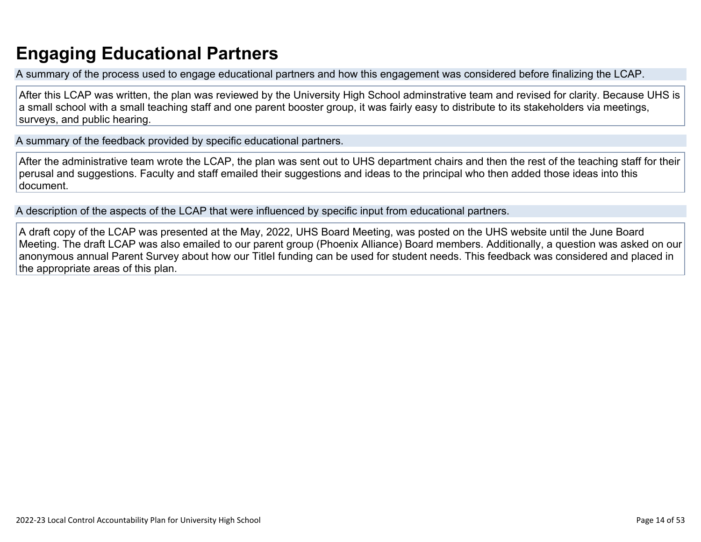## **Engaging Educational Partners**

A summary of the process used to engage educational partners and how this engagement was considered before finalizing the LCAP.

After this LCAP was written, the plan was reviewed by the University High School adminstrative team and revised for clarity. Because UHS is a small school with a small teaching staff and one parent booster group, it was fairly easy to distribute to its stakeholders via meetings, surveys, and public hearing.

A summary of the feedback provided by specific educational partners.

After the administrative team wrote the LCAP, the plan was sent out to UHS department chairs and then the rest of the teaching staff for their perusal and suggestions. Faculty and staff emailed their suggestions and ideas to the principal who then added those ideas into this document.

A description of the aspects of the LCAP that were influenced by specific input from educational partners.

A draft copy of the LCAP was presented at the May, 2022, UHS Board Meeting, was posted on the UHS website until the June Board Meeting. The draft LCAP was also emailed to our parent group (Phoenix Alliance) Board members. Additionally, a question was asked on our anonymous annual Parent Survey about how our TitleI funding can be used for student needs. This feedback was considered and placed in the appropriate areas of this plan.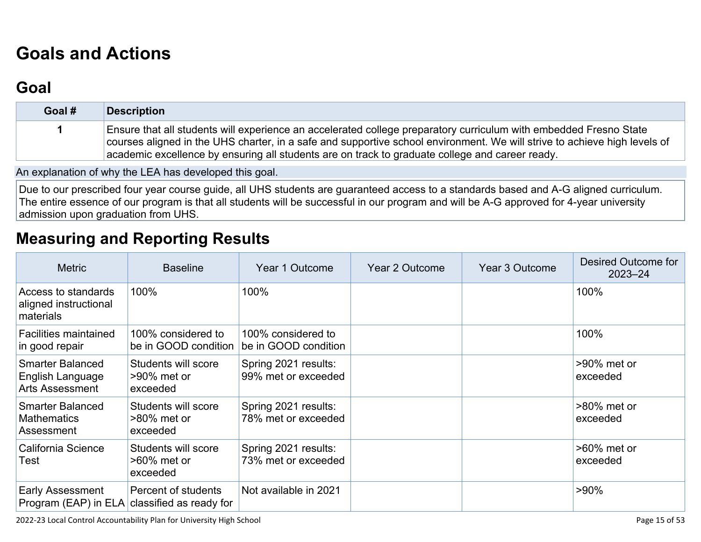# **[Goals and Actions](http://www.doc-tracking.com/screenshots/22LCAP/Instructions/22LCAPInstructions.htm#GoalsandActions)**

## **[Goal](http://www.doc-tracking.com/screenshots/22LCAP/Instructions/22LCAPInstructions.htm#goalDescription)**

| Goal # | <b>Description</b>                                                                                                                                                                                                                                                                                                                                |
|--------|---------------------------------------------------------------------------------------------------------------------------------------------------------------------------------------------------------------------------------------------------------------------------------------------------------------------------------------------------|
|        | Ensure that all students will experience an accelerated college preparatory curriculum with embedded Fresno State<br>courses aligned in the UHS charter, in a safe and supportive school environment. We will strive to achieve high levels of<br>academic excellence by ensuring all students are on track to graduate college and career ready. |

An explanation of why the LEA has developed this goal.

Due to our prescribed four year course guide, all UHS students are guaranteed access to a standards based and A-G aligned curriculum. The entire essence of our program is that all students will be successful in our program and will be A-G approved for 4-year university admission upon graduation from UHS.

### **[Measuring and Reporting Results](http://www.doc-tracking.com/screenshots/22LCAP/Instructions/22LCAPInstructions.htm#MeasuringandReportingResults)**

| <b>Metric</b>                                                                                                                                                          | <b>Baseline</b>                                                     | Year 1 Outcome                              | Year 2 Outcome | Year 3 Outcome          | Desired Outcome for<br>$2023 - 24$ |
|------------------------------------------------------------------------------------------------------------------------------------------------------------------------|---------------------------------------------------------------------|---------------------------------------------|----------------|-------------------------|------------------------------------|
| Access to standards<br>aligned instructional<br>materials                                                                                                              | 100%<br>100%                                                        |                                             | 100%           |                         |                                    |
| <b>Facilities maintained</b><br>100% considered to<br>be in GOOD condition<br>in good repair                                                                           |                                                                     | 100% considered to<br>be in GOOD condition  |                |                         | 100%                               |
| <b>Smarter Balanced</b><br>Spring 2021 results:<br>Students will score<br>99% met or exceeded<br>English Language<br>>90% met or<br><b>Arts Assessment</b><br>exceeded |                                                                     |                                             |                | >90% met or<br>exceeded |                                    |
| <b>Smarter Balanced</b><br><b>Mathematics</b><br>Assessment                                                                                                            | Students will score<br>>80% met or<br>exceeded                      | Spring 2021 results:<br>78% met or exceeded |                |                         | >80% met or<br>exceeded            |
| California Science<br>Test                                                                                                                                             | Students will score<br>$>60\%$ met or<br>exceeded                   | Spring 2021 results:<br>73% met or exceeded |                |                         | >60% met or<br>exceeded            |
| Early Assessment                                                                                                                                                       | Percent of students<br>Program (EAP) in ELA classified as ready for | Not available in 2021                       |                |                         | $>90\%$                            |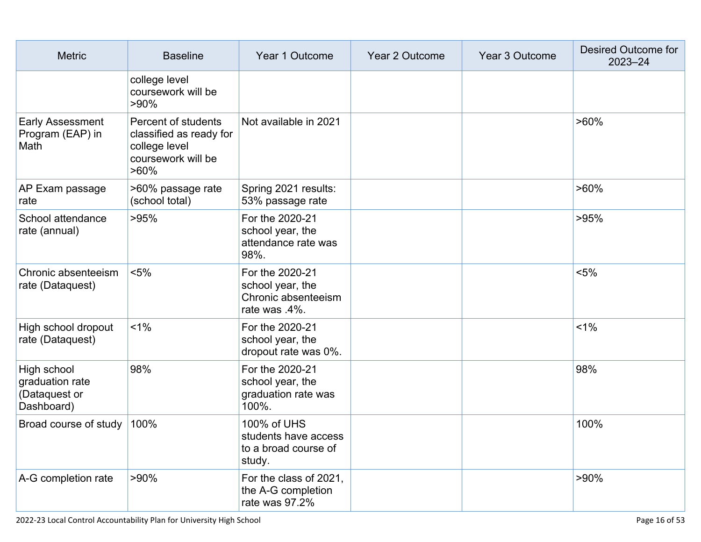| <b>Metric</b>                                                 | <b>Baseline</b><br>Year 1 Outcome<br>Year 2 Outcome                                              |                                                                             | Year 3 Outcome | Desired Outcome for<br>$2023 - 24$ |         |
|---------------------------------------------------------------|--------------------------------------------------------------------------------------------------|-----------------------------------------------------------------------------|----------------|------------------------------------|---------|
|                                                               | college level<br>coursework will be<br>$>90\%$                                                   |                                                                             |                |                                    |         |
| <b>Early Assessment</b><br>Program (EAP) in<br>Math           | Percent of students<br>classified as ready for<br>college level<br>coursework will be<br>$>60\%$ | Not available in 2021                                                       |                |                                    | $>60\%$ |
| AP Exam passage<br>rate                                       | >60% passage rate<br>(school total)                                                              | Spring 2021 results:<br>53% passage rate                                    |                |                                    | $>60\%$ |
| School attendance<br>rate (annual)                            | >95%                                                                                             | For the 2020-21<br>school year, the<br>attendance rate was<br>98%.          |                |                                    | >95%    |
| Chronic absenteeism<br>rate (Dataquest)                       | $< 5\%$                                                                                          | For the 2020-21<br>school year, the<br>Chronic absenteeism<br>rate was .4%. |                |                                    | $< 5\%$ |
| High school dropout<br>rate (Dataquest)                       | $1\%$                                                                                            | For the 2020-21<br>school year, the<br>dropout rate was 0%.                 |                |                                    | $1\%$   |
| High school<br>graduation rate<br>(Dataquest or<br>Dashboard) | 98%                                                                                              | For the 2020-21<br>school year, the<br>graduation rate was<br>100%.         |                |                                    | 98%     |
| Broad course of study                                         | 100%                                                                                             | 100% of UHS<br>students have access<br>to a broad course of<br>study.       |                |                                    | 100%    |
| A-G completion rate                                           | $>90\%$                                                                                          | For the class of 2021,<br>the A-G completion<br>rate was 97.2%              |                |                                    | $>90\%$ |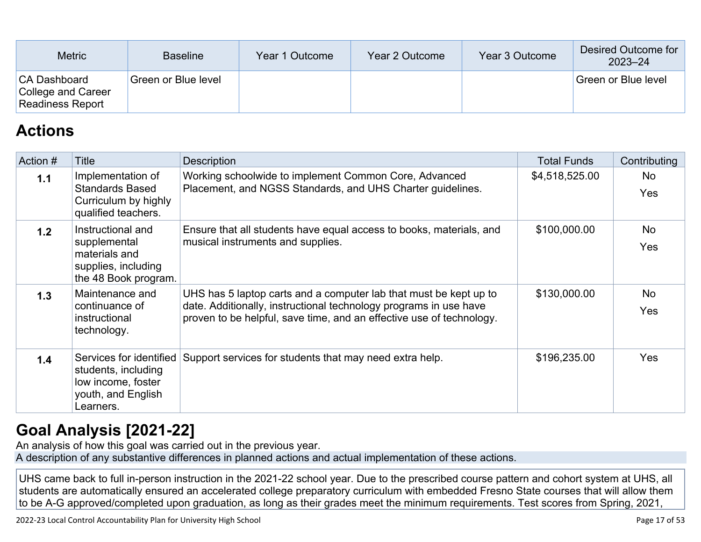| <b>Metric</b>                                                 | <b>Baseline</b>     | Year 1 Outcome | Year 2 Outcome | Year 3 Outcome | Desired Outcome for<br>$2023 - 24$ |
|---------------------------------------------------------------|---------------------|----------------|----------------|----------------|------------------------------------|
| <b>CA Dashboard</b><br>College and Career<br>Readiness Report | Green or Blue level |                |                |                | Green or Blue level                |

## **[Actions](http://www.doc-tracking.com/screenshots/22LCAP/Instructions/22LCAPInstructions.htm#actions)**

| Action # | <b>Title</b>                                                                                            | <b>Description</b>                                                                                                                                                                                             | <b>Total Funds</b> | Contributing            |
|----------|---------------------------------------------------------------------------------------------------------|----------------------------------------------------------------------------------------------------------------------------------------------------------------------------------------------------------------|--------------------|-------------------------|
| 1.1      | Implementation of<br><b>Standards Based</b><br>Curriculum by highly<br>qualified teachers.              | Working schoolwide to implement Common Core, Advanced<br>Placement, and NGSS Standards, and UHS Charter guidelines.                                                                                            | \$4,518,525.00     | <b>No</b><br><b>Yes</b> |
| 1.2      | Instructional and<br>supplemental<br>materials and<br>supplies, including<br>the 48 Book program.       | Ensure that all students have equal access to books, materials, and<br>musical instruments and supplies.                                                                                                       | \$100,000.00       | <b>No</b><br>Yes        |
| 1.3      | Maintenance and<br>continuance of<br>instructional<br>technology.                                       | UHS has 5 laptop carts and a computer lab that must be kept up to<br>date. Additionally, instructional technology programs in use have<br>proven to be helpful, save time, and an effective use of technology. | \$130,000.00       | <b>No</b><br>Yes        |
| 1.4      | Services for identified<br>students, including<br>low income, foster<br>youth, and English<br>Learners. | Support services for students that may need extra help.                                                                                                                                                        | \$196,235.00       | Yes                     |

## **[Goal Analysis \[2021-22\]](http://www.doc-tracking.com/screenshots/22LCAP/Instructions/22LCAPInstructions.htm#GoalAnalysis)**

An analysis of how this goal was carried out in the previous year.

A description of any substantive differences in planned actions and actual implementation of these actions.

UHS came back to full in-person instruction in the 2021-22 school year. Due to the prescribed course pattern and cohort system at UHS, all students are automatically ensured an accelerated college preparatory curriculum with embedded Fresno State courses that will allow them to be A-G approved/completed upon graduation, as long as their grades meet the minimum requirements. Test scores from Spring, 2021,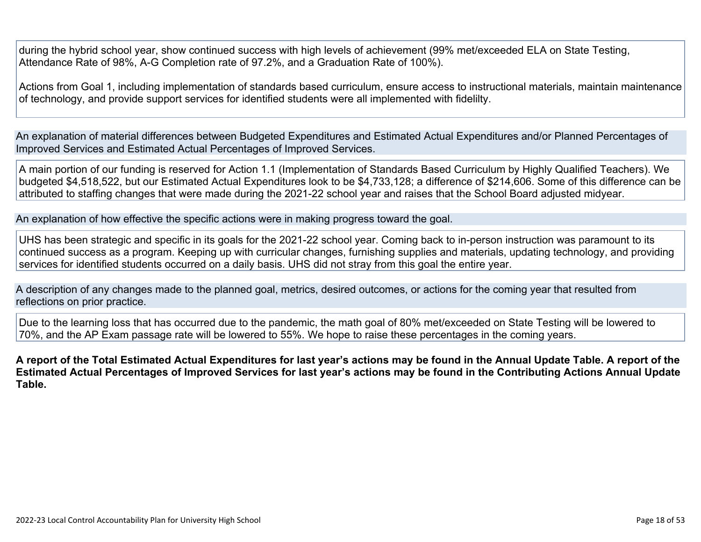during the hybrid school year, show continued success with high levels of achievement (99% met/exceeded ELA on State Testing, Attendance Rate of 98%, A-G Completion rate of 97.2%, and a Graduation Rate of 100%).

Actions from Goal 1, including implementation of standards based curriculum, ensure access to instructional materials, maintain maintenance of technology, and provide support services for identified students were all implemented with fidelilty.

An explanation of material differences between Budgeted Expenditures and Estimated Actual Expenditures and/or Planned Percentages of Improved Services and Estimated Actual Percentages of Improved Services.

A main portion of our funding is reserved for Action 1.1 (Implementation of Standards Based Curriculum by Highly Qualified Teachers). We budgeted \$4,518,522, but our Estimated Actual Expenditures look to be \$4,733,128; a difference of \$214,606. Some of this difference can be attributed to staffing changes that were made during the 2021-22 school year and raises that the School Board adjusted midyear.

An explanation of how effective the specific actions were in making progress toward the goal.

UHS has been strategic and specific in its goals for the 2021-22 school year. Coming back to in-person instruction was paramount to its continued success as a program. Keeping up with curricular changes, furnishing supplies and materials, updating technology, and providing services for identified students occurred on a daily basis. UHS did not stray from this goal the entire year.

A description of any changes made to the planned goal, metrics, desired outcomes, or actions for the coming year that resulted from reflections on prior practice.

Due to the learning loss that has occurred due to the pandemic, the math goal of 80% met/exceeded on State Testing will be lowered to 70%, and the AP Exam passage rate will be lowered to 55%. We hope to raise these percentages in the coming years.

**A report of the Total Estimated Actual Expenditures for last year's actions may be found in the Annual Update Table. A report of the Estimated Actual Percentages of Improved Services for last year's actions may be found in the Contributing Actions Annual Update Table.**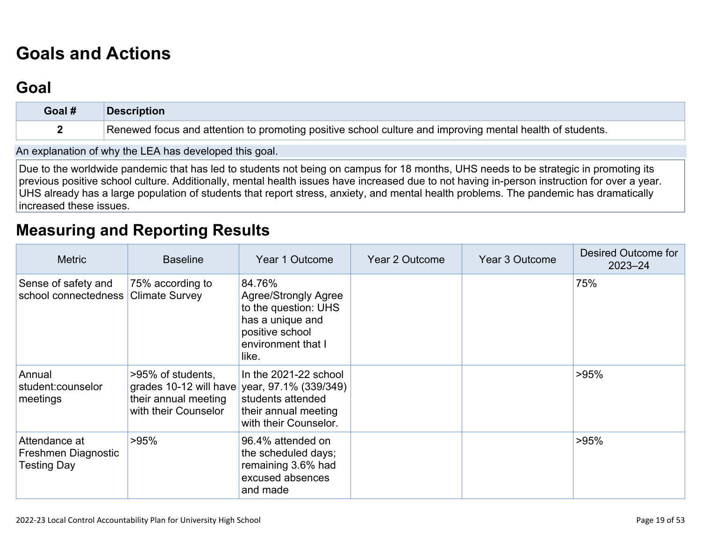## **[Goals and Actions](http://www.doc-tracking.com/screenshots/22LCAP/Instructions/22LCAPInstructions.htm#GoalsandActions)**

### **[Goal](http://www.doc-tracking.com/screenshots/22LCAP/Instructions/22LCAPInstructions.htm#goalDescription)**

| Goal # | <b>Description</b>                                                                                        |
|--------|-----------------------------------------------------------------------------------------------------------|
|        | Renewed focus and attention to promoting positive school culture and improving mental health of students. |

An explanation of why the LEA has developed this goal.

Due to the worldwide pandemic that has led to students not being on campus for 18 months, UHS needs to be strategic in promoting its previous positive school culture. Additionally, mental health issues have increased due to not having in-person instruction for over a year. UHS already has a large population of students that report stress, anxiety, and mental health problems. The pandemic has dramatically increased these issues.

### **[Measuring and Reporting Results](http://www.doc-tracking.com/screenshots/22LCAP/Instructions/22LCAPInstructions.htm#MeasuringandReportingResults)**

| <b>Metric</b>                                              | <b>Baseline</b>                                                                                                   | Year 1 Outcome                                                                                                                      | Year 2 Outcome | Year 3 Outcome | Desired Outcome for<br>$2023 - 24$ |
|------------------------------------------------------------|-------------------------------------------------------------------------------------------------------------------|-------------------------------------------------------------------------------------------------------------------------------------|----------------|----------------|------------------------------------|
| Sense of safety and<br>school connectedness                | 75% according to<br><b>Climate Survey</b>                                                                         | 84.76%<br><b>Agree/Strongly Agree</b><br>to the question: UHS<br>has a unique and<br>positive school<br>environment that I<br>like. |                |                | 75%                                |
| Annual<br>student:counselor<br>meetings                    | >95% of students,<br>grades 10-12 will have year, 97.1% (339/349)<br>their annual meeting<br>with their Counselor | In the 2021-22 school<br>students attended<br>their annual meeting<br>with their Counselor.                                         |                |                | >95%                               |
| Attendance at<br>Freshmen Diagnostic<br><b>Testing Day</b> | >95%                                                                                                              | 96.4% attended on<br>the scheduled days;<br>remaining 3.6% had<br>excused absences<br>and made                                      |                |                | >95%                               |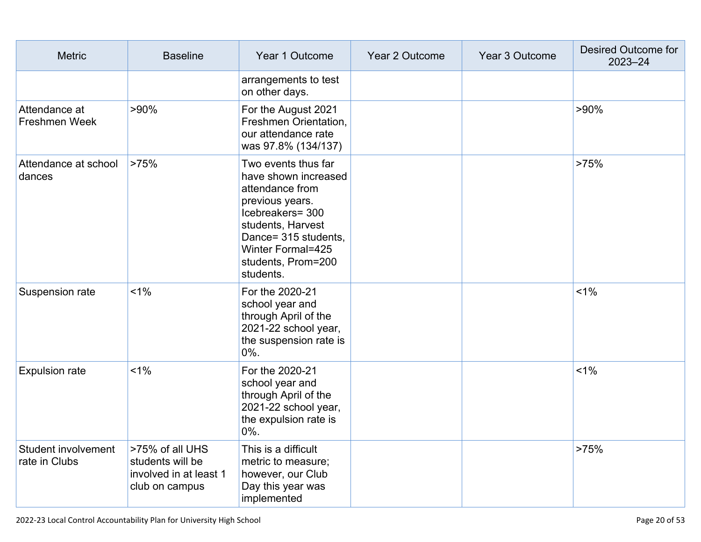| <b>Metric</b>                        | <b>Baseline</b>                                                                 | Year 1 Outcome                                                                                                                                                                                                    | Year 2 Outcome | Year 3 Outcome | <b>Desired Outcome for</b><br>$2023 - 24$ |
|--------------------------------------|---------------------------------------------------------------------------------|-------------------------------------------------------------------------------------------------------------------------------------------------------------------------------------------------------------------|----------------|----------------|-------------------------------------------|
|                                      |                                                                                 | arrangements to test<br>on other days.                                                                                                                                                                            |                |                |                                           |
| Attendance at<br>Freshmen Week       | $>90\%$                                                                         | For the August 2021<br>Freshmen Orientation,<br>our attendance rate<br>was 97.8% (134/137)                                                                                                                        |                |                | $>90\%$                                   |
| Attendance at school<br>dances       | >75%                                                                            | Two events thus far<br>have shown increased<br>attendance from<br>previous years.<br>Icebreakers= 300<br>students, Harvest<br>Dance= 315 students,<br><b>Winter Formal=425</b><br>students, Prom=200<br>students. |                |                | >75%                                      |
| Suspension rate                      | $1\%$                                                                           | For the 2020-21<br>school year and<br>through April of the<br>2021-22 school year,<br>the suspension rate is<br>$0\%$ .                                                                                           |                |                | $1\%$                                     |
| <b>Expulsion rate</b>                | $1\%$                                                                           | For the 2020-21<br>school year and<br>through April of the<br>2021-22 school year,<br>the expulsion rate is<br>0%.                                                                                                |                |                | $1\%$                                     |
| Student involvement<br>rate in Clubs | >75% of all UHS<br>students will be<br>involved in at least 1<br>club on campus | This is a difficult<br>metric to measure;<br>however, our Club<br>Day this year was<br>implemented                                                                                                                |                |                | >75%                                      |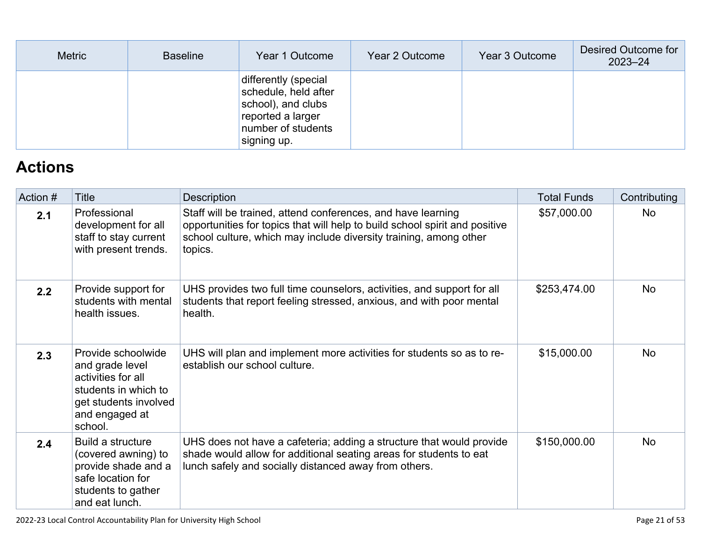| <b>Metric</b> | <b>Baseline</b> | Year 1 Outcome                                                                                                               | Year 2 Outcome | Year 3 Outcome | Desired Outcome for<br>$2023 - 24$ |
|---------------|-----------------|------------------------------------------------------------------------------------------------------------------------------|----------------|----------------|------------------------------------|
|               |                 | differently (special<br>schedule, held after<br>school), and clubs<br>reported a larger<br>number of students<br>signing up. |                |                |                                    |

## **[Actions](http://www.doc-tracking.com/screenshots/22LCAP/Instructions/22LCAPInstructions.htm#actions)**

| Action # | Title                                                                                                                                     | <b>Description</b>                                                                                                                                                                                                          | <b>Total Funds</b> | Contributing |
|----------|-------------------------------------------------------------------------------------------------------------------------------------------|-----------------------------------------------------------------------------------------------------------------------------------------------------------------------------------------------------------------------------|--------------------|--------------|
| 2.1      | Professional<br>development for all<br>staff to stay current<br>with present trends.                                                      | Staff will be trained, attend conferences, and have learning<br>opportunities for topics that will help to build school spirit and positive<br>school culture, which may include diversity training, among other<br>topics. | \$57,000.00        | No           |
| 2.2      | Provide support for<br>students with mental<br>health issues.                                                                             | UHS provides two full time counselors, activities, and support for all<br>students that report feeling stressed, anxious, and with poor mental<br>health.                                                                   | \$253,474.00       | No           |
| 2.3      | Provide schoolwide<br>and grade level<br>activities for all<br>students in which to<br>get students involved<br>and engaged at<br>school. | UHS will plan and implement more activities for students so as to re-<br>establish our school culture.                                                                                                                      | \$15,000.00        | No           |
| 2.4      | Build a structure<br>(covered awning) to<br>provide shade and a<br>safe location for<br>students to gather<br>and eat lunch.              | UHS does not have a cafeteria; adding a structure that would provide<br>shade would allow for additional seating areas for students to eat<br>lunch safely and socially distanced away from others.                         | \$150,000.00       | No           |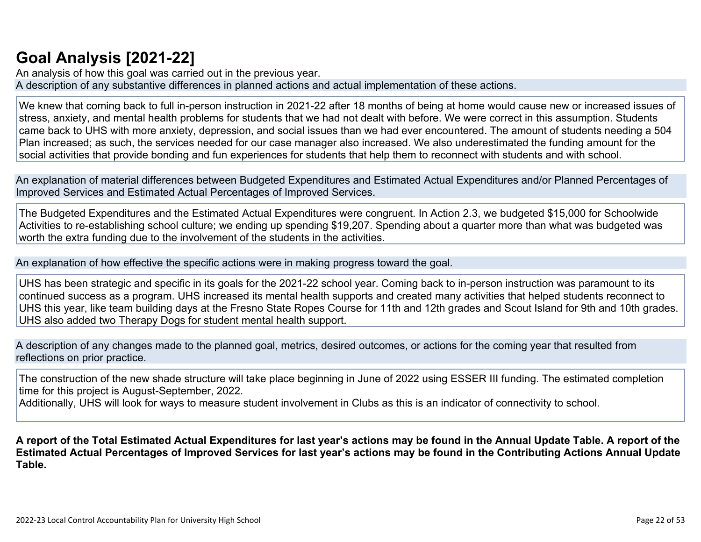## **[Goal Analysis \[2021-22\]](http://www.doc-tracking.com/screenshots/22LCAP/Instructions/22LCAPInstructions.htm#GoalAnalysis)**

An analysis of how this goal was carried out in the previous year. A description of any substantive differences in planned actions and actual implementation of these actions.

We knew that coming back to full in-person instruction in 2021-22 after 18 months of being at home would cause new or increased issues of stress, anxiety, and mental health problems for students that we had not dealt with before. We were correct in this assumption. Students came back to UHS with more anxiety, depression, and social issues than we had ever encountered. The amount of students needing a 504 Plan increased; as such, the services needed for our case manager also increased. We also underestimated the funding amount for the social activities that provide bonding and fun experiences for students that help them to reconnect with students and with school.

An explanation of material differences between Budgeted Expenditures and Estimated Actual Expenditures and/or Planned Percentages of Improved Services and Estimated Actual Percentages of Improved Services.

The Budgeted Expenditures and the Estimated Actual Expenditures were congruent. In Action 2.3, we budgeted \$15,000 for Schoolwide Activities to re-establishing school culture; we ending up spending \$19,207. Spending about a quarter more than what was budgeted was worth the extra funding due to the involvement of the students in the activities.

An explanation of how effective the specific actions were in making progress toward the goal.

UHS has been strategic and specific in its goals for the 2021-22 school year. Coming back to in-person instruction was paramount to its continued success as a program. UHS increased its mental health supports and created many activities that helped students reconnect to UHS this year, like team building days at the Fresno State Ropes Course for 11th and 12th grades and Scout Island for 9th and 10th grades. UHS also added two Therapy Dogs for student mental health support.

A description of any changes made to the planned goal, metrics, desired outcomes, or actions for the coming year that resulted from reflections on prior practice.

The construction of the new shade structure will take place beginning in June of 2022 using ESSER III funding. The estimated completion time for this project is August-September, 2022.

Additionally, UHS will look for ways to measure student involvement in Clubs as this is an indicator of connectivity to school.

**A report of the Total Estimated Actual Expenditures for last year's actions may be found in the Annual Update Table. A report of the Estimated Actual Percentages of Improved Services for last year's actions may be found in the Contributing Actions Annual Update Table.**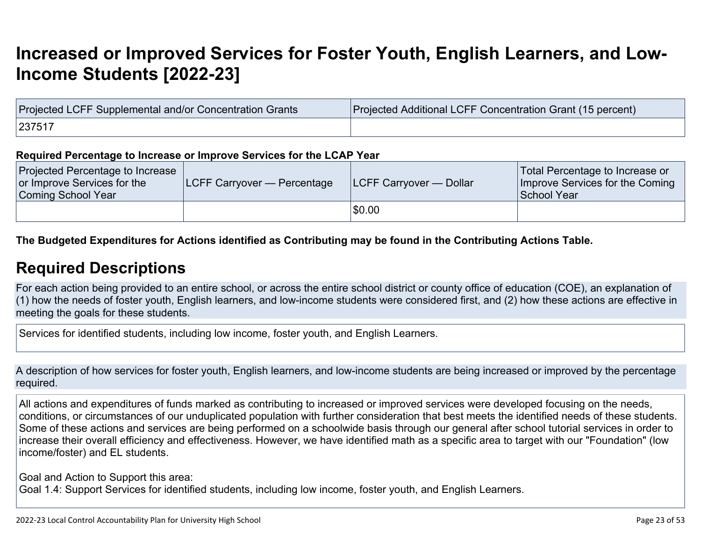## **[Increased or Improved Services for Foster Youth, English Learners, and Low-](http://www.doc-tracking.com/screenshots/22LCAP/Instructions/22LCAPInstructions.htm#IncreasedImprovedServices)[Income Students \[2022-23\]](http://www.doc-tracking.com/screenshots/22LCAP/Instructions/22LCAPInstructions.htm#IncreasedImprovedServices)**

| Projected LCFF Supplemental and/or Concentration Grants | Projected Additional LCFF Concentration Grant (15 percent) |
|---------------------------------------------------------|------------------------------------------------------------|
| 237517                                                  |                                                            |

#### **Required Percentage to Increase or Improve Services for the LCAP Year**

| Projected Percentage to Increase<br>or Improve Services for the<br>Coming School Year | <b>LCFF Carryover — Percentage</b> | <b>ILCFF Carryover — Dollar</b> | Total Percentage to Increase or<br>Improve Services for the Coming<br>School Year |
|---------------------------------------------------------------------------------------|------------------------------------|---------------------------------|-----------------------------------------------------------------------------------|
|                                                                                       |                                    | \$0.00                          |                                                                                   |

**The Budgeted Expenditures for Actions identified as Contributing may be found in the Contributing Actions Table.**

### **[Required Descriptions](http://www.doc-tracking.com/screenshots/22LCAP/Instructions/22LCAPInstructions.htm#RequiredDescriptions)**

For each action being provided to an entire school, or across the entire school district or county office of education (COE), an explanation of (1) how the needs of foster youth, English learners, and low-income students were considered first, and (2) how these actions are effective in meeting the goals for these students.

Services for identified students, including low income, foster youth, and English Learners.

A description of how services for foster youth, English learners, and low-income students are being increased or improved by the percentage required.

All actions and expenditures of funds marked as contributing to increased or improved services were developed focusing on the needs, conditions, or circumstances of our unduplicated population with further consideration that best meets the identified needs of these students. Some of these actions and services are being performed on a schoolwide basis through our general after school tutorial services in order to increase their overall efficiency and effectiveness. However, we have identified math as a specific area to target with our "Foundation" (low income/foster) and EL students.

Goal and Action to Support this area:

Goal 1.4: Support Services for identified students, including low income, foster youth, and English Learners.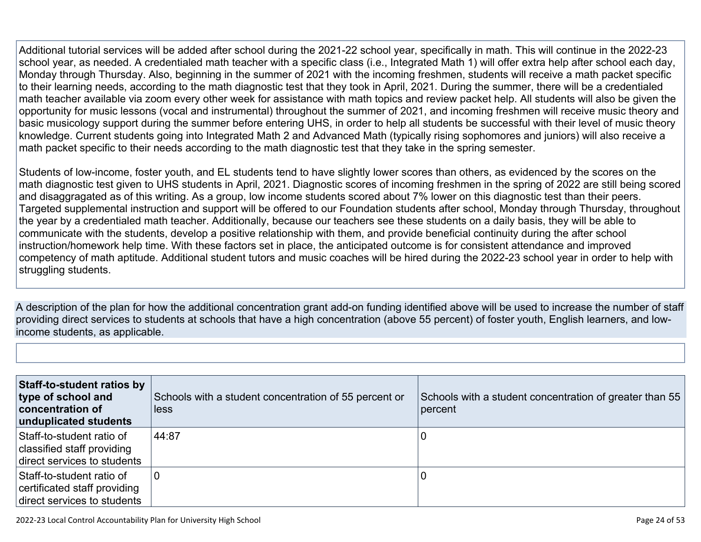Additional tutorial services will be added after school during the 2021-22 school year, specifically in math. This will continue in the 2022-23 school year, as needed. A credentialed math teacher with a specific class (i.e., Integrated Math 1) will offer extra help after school each day, Monday through Thursday. Also, beginning in the summer of 2021 with the incoming freshmen, students will receive a math packet specific to their learning needs, according to the math diagnostic test that they took in April, 2021. During the summer, there will be a credentialed math teacher available via zoom every other week for assistance with math topics and review packet help. All students will also be given the opportunity for music lessons (vocal and instrumental) throughout the summer of 2021, and incoming freshmen will receive music theory and basic musicology support during the summer before entering UHS, in order to help all students be successful with their level of music theory knowledge. Current students going into Integrated Math 2 and Advanced Math (typically rising sophomores and juniors) will also receive a math packet specific to their needs according to the math diagnostic test that they take in the spring semester.

Students of low-income, foster youth, and EL students tend to have slightly lower scores than others, as evidenced by the scores on the math diagnostic test given to UHS students in April, 2021. Diagnostic scores of incoming freshmen in the spring of 2022 are still being scored and disaggragated as of this writing. As a group, low income students scored about 7% lower on this diagnostic test than their peers. Targeted supplemental instruction and support will be offered to our Foundation students after school, Monday through Thursday, throughout the year by a credentialed math teacher. Additionally, because our teachers see these students on a daily basis, they will be able to communicate with the students, develop a positive relationship with them, and provide beneficial continuity during the after school instruction/homework help time. With these factors set in place, the anticipated outcome is for consistent attendance and improved competency of math aptitude. Additional student tutors and music coaches will be hired during the 2022-23 school year in order to help with struggling students.

A description of the plan for how the additional concentration grant add-on funding identified above will be used to increase the number of staff providing direct services to students at schools that have a high concentration (above 55 percent) of foster youth, English learners, and lowincome students, as applicable.

| Staff-to-student ratios by<br>type of school and<br>concentration of<br>unduplicated students | Schools with a student concentration of 55 percent or<br>less | Schools with a student concentration of greater than 55<br>percent |
|-----------------------------------------------------------------------------------------------|---------------------------------------------------------------|--------------------------------------------------------------------|
| Staff-to-student ratio of<br>classified staff providing<br>direct services to students        | 44:87                                                         |                                                                    |
| Staff-to-student ratio of<br>certificated staff providing<br>direct services to students      | O                                                             |                                                                    |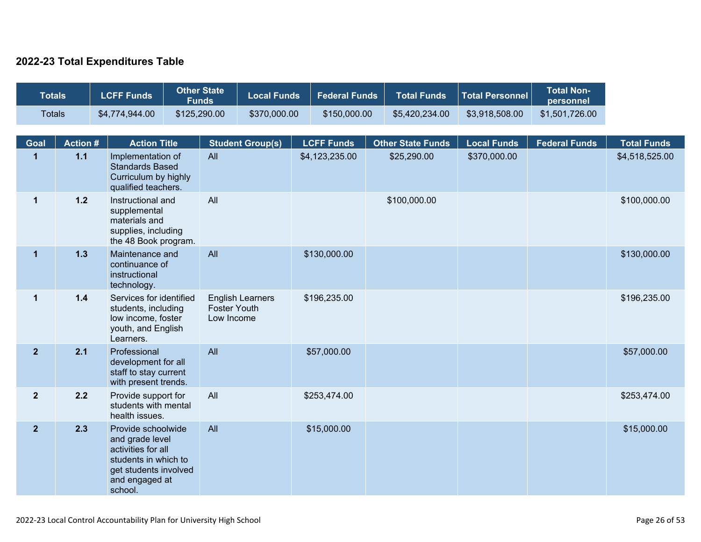### **2022-23 Total Expenditures Table**

| <b>Totals</b>  |                 | <b>LCFF Funds</b>                                                                                                                         | <b>Other State</b><br><b>Funds</b> | <b>Local Funds</b>      | <b>Federal Funds</b> | <b>Total Funds</b>       | <b>Total Personnel</b> | <b>Total Non-</b><br>personnel |                    |
|----------------|-----------------|-------------------------------------------------------------------------------------------------------------------------------------------|------------------------------------|-------------------------|----------------------|--------------------------|------------------------|--------------------------------|--------------------|
| <b>Totals</b>  |                 | \$4,774,944.00                                                                                                                            | \$125,290.00                       | \$370,000.00            | \$150,000.00         | \$5,420,234.00           | \$3,918,508.00         | \$1,501,726.00                 |                    |
| Goal           | <b>Action #</b> | <b>Action Title</b>                                                                                                                       |                                    | <b>Student Group(s)</b> | <b>LCFF Funds</b>    | <b>Other State Funds</b> | <b>Local Funds</b>     | <b>Federal Funds</b>           | <b>Total Funds</b> |
| $\mathbf{1}$   | $1.1$           | Implementation of<br><b>Standards Based</b><br>Curriculum by highly<br>qualified teachers.                                                | All                                |                         | \$4,123,235.00       | \$25,290.00              | \$370,000.00           |                                | \$4,518,525.00     |
| $\mathbf{1}$   | $1.2$           | Instructional and<br>supplemental<br>materials and<br>supplies, including<br>the 48 Book program.                                         | All                                |                         |                      | \$100,000.00             |                        |                                | \$100,000.00       |
| $\mathbf{1}$   | $1.3$           | Maintenance and<br>continuance of<br>instructional<br>technology.                                                                         | All                                |                         | \$130,000.00         |                          |                        |                                | \$130,000.00       |
| $\mathbf 1$    | $1.4$           | Services for identified<br>students, including<br>low income, foster<br>youth, and English<br>Learners.                                   | <b>Foster Youth</b><br>Low Income  | <b>English Learners</b> | \$196,235.00         |                          |                        |                                | \$196,235.00       |
| $\overline{2}$ | 2.1             | Professional<br>development for all<br>staff to stay current<br>with present trends.                                                      | All                                |                         | \$57,000.00          |                          |                        |                                | \$57,000.00        |
| 2 <sup>2</sup> | 2.2             | Provide support for<br>students with mental<br>health issues.                                                                             | All                                |                         | \$253,474.00         |                          |                        |                                | \$253,474.00       |
| $\overline{2}$ | 2.3             | Provide schoolwide<br>and grade level<br>activities for all<br>students in which to<br>get students involved<br>and engaged at<br>school. | All                                |                         | \$15,000.00          |                          |                        |                                | \$15,000.00        |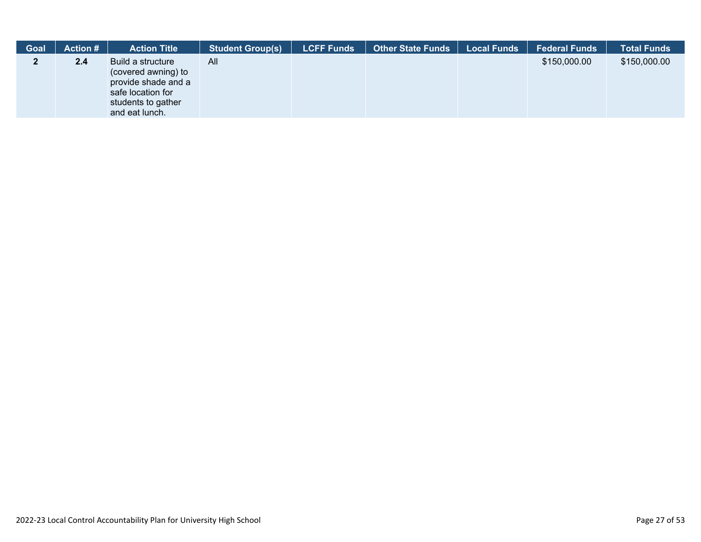| Goal | <b>Action #</b> | <b>Action Title</b>                                                                                                          | <b>Student Group(s)</b> | <b>LCFF Funds</b> | <b>Other State Funds</b> | <b>Local Funds</b> | <b>Federal Funds</b> | <b>Total Funds</b> |
|------|-----------------|------------------------------------------------------------------------------------------------------------------------------|-------------------------|-------------------|--------------------------|--------------------|----------------------|--------------------|
|      | 2.4             | Build a structure<br>(covered awning) to<br>provide shade and a<br>safe location for<br>students to gather<br>and eat lunch. | All                     |                   |                          |                    | \$150,000.00         | \$150,000.00       |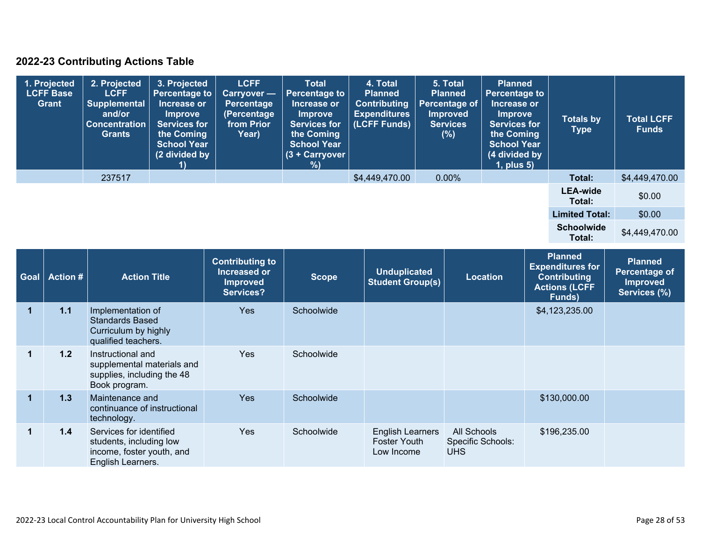### **2022-23 Contributing Actions Table**

|      | 1. Projected<br><b>LCFF Base</b><br>Grant | 2. Projected<br><b>LCFF</b><br><b>Supplemental</b><br>and/or<br><b>Concentration</b><br><b>Grants</b> | 3. Projected<br><b>Percentage to</b><br>Increase or<br><b>Improve</b><br><b>Services for</b><br>the Coming<br><b>School Year</b><br>(2 divided by | <b>LCFF</b><br>Carryover -<br><b>Percentage</b><br>(Percentage<br>from Prior<br>Year) | <b>Total</b><br>Percentage to<br>Increase or<br><b>Improve</b><br><b>Services for</b><br>the Coming<br><b>School Year</b><br>(3 + Carryover<br>%) | 4. Total<br><b>Planned</b><br><b>Contributing</b><br><b>Expenditures</b><br>(LCFF Funds) | 5. Total<br><b>Planned</b><br><b>Percentage of</b><br><b>Improved</b><br><b>Services</b><br>(%) | <b>Planned</b><br><b>Percentage to</b><br>Increase or<br><b>Improve</b><br><b>Services for</b><br>the Coming<br><b>School Year</b><br>(4 divided by<br>1, plus 5) | <b>Totals by</b><br><b>Type</b>                                                                    | <b>Total LCFF</b><br><b>Funds</b>                                  |
|------|-------------------------------------------|-------------------------------------------------------------------------------------------------------|---------------------------------------------------------------------------------------------------------------------------------------------------|---------------------------------------------------------------------------------------|---------------------------------------------------------------------------------------------------------------------------------------------------|------------------------------------------------------------------------------------------|-------------------------------------------------------------------------------------------------|-------------------------------------------------------------------------------------------------------------------------------------------------------------------|----------------------------------------------------------------------------------------------------|--------------------------------------------------------------------|
|      |                                           | 237517                                                                                                |                                                                                                                                                   |                                                                                       |                                                                                                                                                   | \$4,449,470.00                                                                           | 0.00%                                                                                           |                                                                                                                                                                   | Total:                                                                                             | \$4,449,470.00                                                     |
|      |                                           |                                                                                                       |                                                                                                                                                   |                                                                                       |                                                                                                                                                   |                                                                                          |                                                                                                 |                                                                                                                                                                   | <b>LEA-wide</b><br>Total:                                                                          | \$0.00                                                             |
|      |                                           |                                                                                                       |                                                                                                                                                   |                                                                                       |                                                                                                                                                   |                                                                                          |                                                                                                 |                                                                                                                                                                   | <b>Limited Total:</b>                                                                              | \$0.00                                                             |
|      |                                           |                                                                                                       |                                                                                                                                                   |                                                                                       |                                                                                                                                                   |                                                                                          |                                                                                                 |                                                                                                                                                                   | <b>Schoolwide</b><br>Total:                                                                        | \$4,449,470.00                                                     |
| Goal | <b>Action #</b>                           | <b>Action Title</b>                                                                                   |                                                                                                                                                   | <b>Contributing to</b><br>Increased or<br><b>Improved</b><br><b>Services?</b>         | <b>Scope</b>                                                                                                                                      | <b>Unduplicated</b><br><b>Student Group(s)</b>                                           |                                                                                                 | Location                                                                                                                                                          | <b>Planned</b><br><b>Expenditures for</b><br><b>Contributing</b><br><b>Actions (LCFF</b><br>Eundel | <b>Planned</b><br>Percentage of<br><b>Improved</b><br>Services (%) |

| --- | <u>, wuvii "</u> |                                                                                                      | <b>Improved</b><br><b>Services?</b> | <u>sopo</u> | <b>Student Group(s)</b>                                      | -------                                        | <b>Actions (LCFF</b><br>Funds) | <b>Improved</b><br>Services (%) |
|-----|------------------|------------------------------------------------------------------------------------------------------|-------------------------------------|-------------|--------------------------------------------------------------|------------------------------------------------|--------------------------------|---------------------------------|
|     | 1.1              | Implementation of<br><b>Standards Based</b><br>Curriculum by highly<br>qualified teachers.           | Yes                                 | Schoolwide  |                                                              |                                                | \$4,123,235.00                 |                                 |
|     | $1.2$            | Instructional and<br>supplemental materials and<br>supplies, including the 48<br>Book program.       | Yes                                 | Schoolwide  |                                                              |                                                |                                |                                 |
|     | 1.3              | Maintenance and<br>continuance of instructional<br>technology.                                       | Yes                                 | Schoolwide  |                                                              |                                                | \$130,000.00                   |                                 |
|     | 1.4              | Services for identified<br>students, including low<br>income, foster youth, and<br>English Learners. | Yes                                 | Schoolwide  | <b>English Learners</b><br><b>Foster Youth</b><br>Low Income | All Schools<br>Specific Schools:<br><b>UHS</b> | \$196,235.00                   |                                 |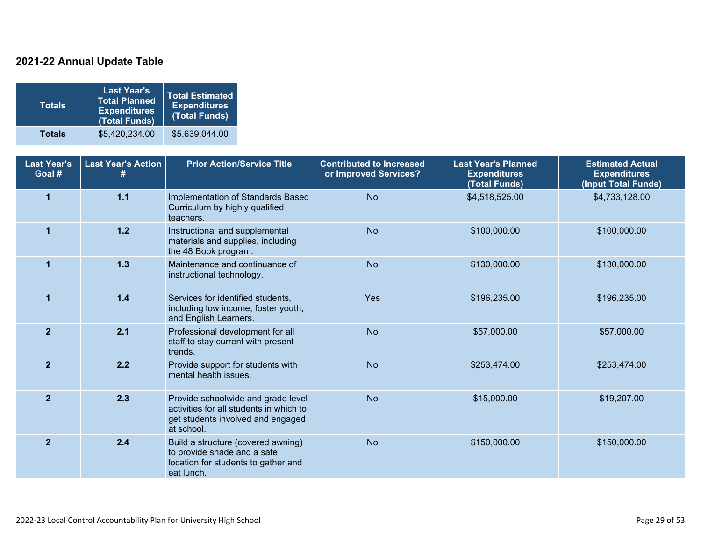### **2021-22 Annual Update Table**

| <b>Totals</b> | <b>Last Year's</b><br><b>Total Planned</b><br><b>Expenditures</b><br>(Total Funds) | <b>Total Estimated</b><br><b>Expenditures</b><br>(Total Funds) |
|---------------|------------------------------------------------------------------------------------|----------------------------------------------------------------|
| <b>Totals</b> | \$5,420,234.00                                                                     | \$5,639,044.00                                                 |

| <b>Last Year's</b><br>Goal # | <b>Last Year's Action</b> | <b>Prior Action/Service Title</b>                                                                                                | <b>Contributed to Increased</b><br>or Improved Services? | <b>Last Year's Planned</b><br><b>Expenditures</b><br>(Total Funds) | <b>Estimated Actual</b><br><b>Expenditures</b><br>(Input Total Funds) |
|------------------------------|---------------------------|----------------------------------------------------------------------------------------------------------------------------------|----------------------------------------------------------|--------------------------------------------------------------------|-----------------------------------------------------------------------|
| 1                            | $1.1$                     | Implementation of Standards Based<br>Curriculum by highly qualified<br>teachers.                                                 | <b>No</b>                                                | \$4,518,525.00                                                     | \$4,733,128.00                                                        |
| $\mathbf 1$                  | $1.2$                     | Instructional and supplemental<br>materials and supplies, including<br>the 48 Book program.                                      | <b>No</b>                                                | \$100,000.00                                                       | \$100,000.00                                                          |
| $\blacktriangleleft$         | $1.3$                     | Maintenance and continuance of<br>instructional technology.                                                                      | <b>No</b>                                                | \$130,000.00                                                       | \$130,000.00                                                          |
| $\overline{1}$               | $1.4$                     | Services for identified students,<br>including low income, foster youth,<br>and English Learners.                                | Yes                                                      | \$196,235.00                                                       | \$196,235.00                                                          |
| $\overline{2}$               | 2.1                       | Professional development for all<br>staff to stay current with present<br>trends.                                                | <b>No</b>                                                | \$57,000.00                                                        | \$57,000.00                                                           |
| $\overline{2}$               | 2.2                       | Provide support for students with<br>mental health issues.                                                                       | <b>No</b>                                                | \$253,474.00                                                       | \$253,474.00                                                          |
| $\overline{2}$               | 2.3                       | Provide schoolwide and grade level<br>activities for all students in which to<br>get students involved and engaged<br>at school. | <b>No</b>                                                | \$15,000.00                                                        | \$19,207.00                                                           |
| $\overline{2}$               | 2.4                       | Build a structure (covered awning)<br>to provide shade and a safe<br>location for students to gather and<br>eat lunch.           | <b>No</b>                                                | \$150,000.00                                                       | \$150,000.00                                                          |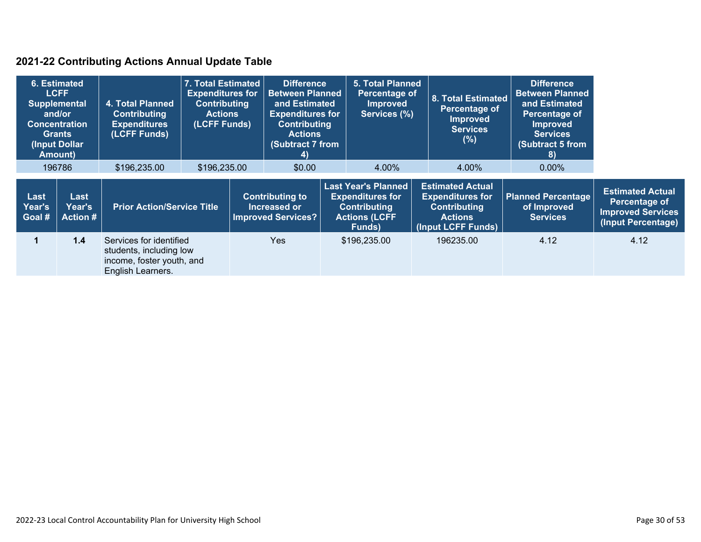### **2021-22 Contributing Actions Annual Update Table**

| 6. Estimated<br><b>LCFF</b><br><b>Supplemental</b><br>and/or<br><b>Concentration</b><br><b>Grants</b><br>(Input Dollar<br><b>Amount)</b> |                                          | <b>4. Total Planned</b><br><b>Contributing</b><br><b>Expenditures</b><br>(LCFF Funds)                | 7. Total Estimated<br><b>Expenditures for</b><br><b>Contributing</b><br><b>Actions</b><br>(LCFF Funds) |        | <b>Difference</b><br><b>Between Planned</b><br>and Estimated<br><b>Expenditures for</b><br><b>Contributing</b><br><b>Actions</b><br>(Subtract 7 from<br>4) |  | <b>5. Total Planned</b><br>Percentage of<br><b>Improved</b><br>Services (%)                                    | 8. Total Estimated<br>Percentage of<br><b>Improved</b><br><b>Services</b><br>(%)                                  | <b>Difference</b><br><b>Between Planned</b><br>and Estimated<br>Percentage of<br><b>Improved</b><br><b>Services</b><br>(Subtract 5 from<br>-8) |                                                                                            |
|------------------------------------------------------------------------------------------------------------------------------------------|------------------------------------------|------------------------------------------------------------------------------------------------------|--------------------------------------------------------------------------------------------------------|--------|------------------------------------------------------------------------------------------------------------------------------------------------------------|--|----------------------------------------------------------------------------------------------------------------|-------------------------------------------------------------------------------------------------------------------|------------------------------------------------------------------------------------------------------------------------------------------------|--------------------------------------------------------------------------------------------|
|                                                                                                                                          | 196786<br>\$196,235.00                   |                                                                                                      | \$196,235.00                                                                                           | \$0.00 |                                                                                                                                                            |  | 4.00%                                                                                                          | 4.00%                                                                                                             | $0.00\%$                                                                                                                                       |                                                                                            |
| Last<br><b>Year's</b><br>Goal #                                                                                                          | Last<br><b>Year's</b><br><b>Action #</b> | <b>Prior Action/Service Title</b>                                                                    |                                                                                                        |        | <b>Contributing to</b><br>Increased or<br><b>Improved Services?</b>                                                                                        |  | <b>Last Year's Planned</b><br><b>Expenditures for</b><br><b>Contributing</b><br><b>Actions (LCFF</b><br>Funds) | <b>Estimated Actual</b><br><b>Expenditures for</b><br><b>Contributing</b><br><b>Actions</b><br>(Input LCFF Funds) | <b>Planned Percentage</b><br>of Improved<br><b>Services</b>                                                                                    | <b>Estimated Actual</b><br>Percentage of<br><b>Improved Services</b><br>(Input Percentage) |
|                                                                                                                                          | 1.4                                      | Services for identified<br>students, including low<br>income, foster youth, and<br>English Learners. |                                                                                                        |        | <b>Yes</b>                                                                                                                                                 |  | \$196,235.00                                                                                                   | 196235.00                                                                                                         | 4.12                                                                                                                                           | 4.12                                                                                       |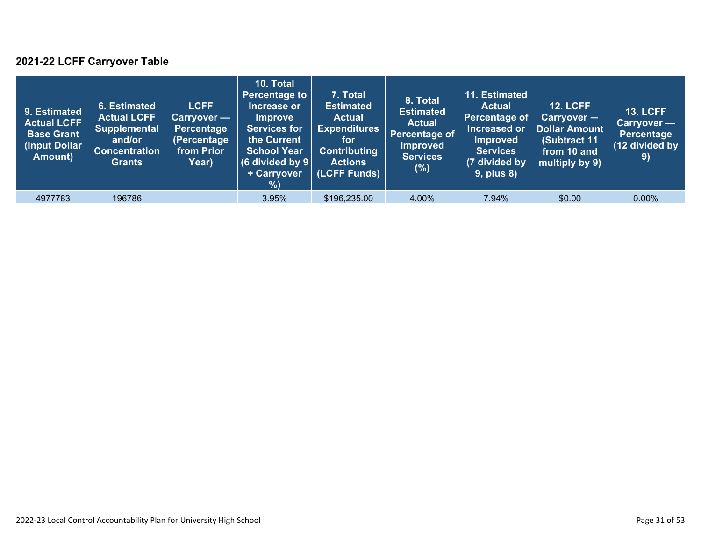### **2021-22 LCFF Carryover Table**

| 9. Estimated<br>Actual LCFF<br><b>Base Grant</b><br>(Input Dollar)<br>Amount) | 6. Estimated<br><b>Actual LCFF</b><br><b>Supplemental</b><br>and/or<br><b>Concentration</b><br><b>Grants</b> | <b>LCFF</b><br>Carryover —<br><b>Percentage</b><br>(Percentage<br>from Prior<br>Year) | 10. Total<br><b>Percentage to</b><br>Increase or<br><b>Improve</b><br><b>Services for</b><br>the Current<br><b>School Year</b><br>(6 divided by $9$ $ $<br>+ Carryover<br>% | 7. Total<br><b>Estimated</b><br><b>Actual</b><br><b>Expenditures</b><br>for<br><b>Contributing</b><br><b>Actions</b><br>(LCFF Funds) | 8. Total<br><b>Estimated</b><br><b>Actual</b><br>Percentage of<br>Improved<br><b>Services</b><br>$(\%)$ | 11. Estimated<br><b>Actual</b><br>Percentage of<br>Increased or<br><b>Improved</b><br><b>Services</b><br>(7 divided by<br>$9$ , plus $8$ ) | <b>12. LCFF</b><br>$Carryover -$<br>Dollar Amount<br>(Subtract 11<br>from 10 and<br>multiply by 9) | <b>13. LCFF</b><br>$Carryover -$<br>Percentage<br>(12 divided by<br>9) |
|-------------------------------------------------------------------------------|--------------------------------------------------------------------------------------------------------------|---------------------------------------------------------------------------------------|-----------------------------------------------------------------------------------------------------------------------------------------------------------------------------|--------------------------------------------------------------------------------------------------------------------------------------|---------------------------------------------------------------------------------------------------------|--------------------------------------------------------------------------------------------------------------------------------------------|----------------------------------------------------------------------------------------------------|------------------------------------------------------------------------|
| 4977783                                                                       | 196786                                                                                                       |                                                                                       | 3.95%                                                                                                                                                                       | \$196,235.00                                                                                                                         | 4.00%                                                                                                   | 7.94%                                                                                                                                      | \$0.00                                                                                             | 0.00%                                                                  |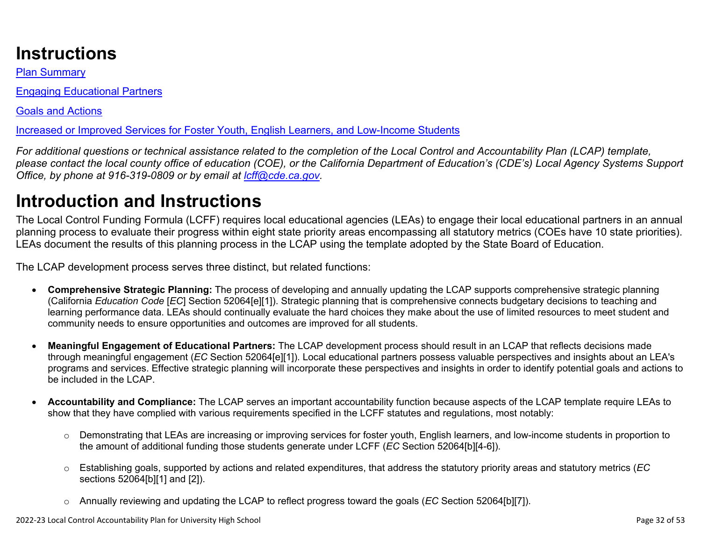## **Instructions**

Plan Summary

Engaging Educational Partners

Goals and Actions

Increased or Improved Services for Foster Youth, English Learners, and Low-Income Students

*For additional questions or technical assistance related to the completion of the Local Control and Accountability Plan (LCAP) template, please contact the local county office of education (COE), or the California Department of Education's (CDE's) Local Agency Systems Support Office, by phone at 916-319-0809 or by email at [lcff@cde.ca.gov](mailto:lcff@cde.ca.gov).*

# **Introduction and Instructions**

The Local Control Funding Formula (LCFF) requires local educational agencies (LEAs) to engage their local educational partners in an annual planning process to evaluate their progress within eight state priority areas encompassing all statutory metrics (COEs have 10 state priorities). LEAs document the results of this planning process in the LCAP using the template adopted by the State Board of Education.

The LCAP development process serves three distinct, but related functions:

- **Comprehensive Strategic Planning:** The process of developing and annually updating the LCAP supports comprehensive strategic planning (California *Education Code* [*EC*] Section 52064[e][1]). Strategic planning that is comprehensive connects budgetary decisions to teaching and learning performance data. LEAs should continually evaluate the hard choices they make about the use of limited resources to meet student and community needs to ensure opportunities and outcomes are improved for all students.
- **Meaningful Engagement of Educational Partners:** The LCAP development process should result in an LCAP that reflects decisions made through meaningful engagement (*EC* Section 52064[e][1]). Local educational partners possess valuable perspectives and insights about an LEA's programs and services. Effective strategic planning will incorporate these perspectives and insights in order to identify potential goals and actions to be included in the LCAP.
- **Accountability and Compliance:** The LCAP serves an important accountability function because aspects of the LCAP template require LEAs to show that they have complied with various requirements specified in the LCFF statutes and regulations, most notably:
	- o Demonstrating that LEAs are increasing or improving services for foster youth, English learners, and low-income students in proportion to the amount of additional funding those students generate under LCFF (*EC* Section 52064[b][4-6]).
	- o Establishing goals, supported by actions and related expenditures, that address the statutory priority areas and statutory metrics (*EC* sections 52064[b][1] and [2]).
	- o Annually reviewing and updating the LCAP to reflect progress toward the goals (*EC* Section 52064[b][7]).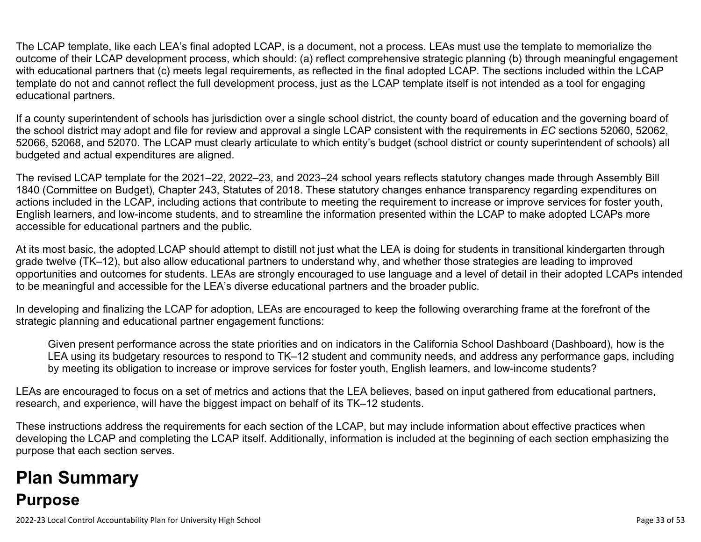The LCAP template, like each LEA's final adopted LCAP, is a document, not a process. LEAs must use the template to memorialize the outcome of their LCAP development process, which should: (a) reflect comprehensive strategic planning (b) through meaningful engagement with educational partners that (c) meets legal requirements, as reflected in the final adopted LCAP. The sections included within the LCAP template do not and cannot reflect the full development process, just as the LCAP template itself is not intended as a tool for engaging educational partners.

If a county superintendent of schools has jurisdiction over a single school district, the county board of education and the governing board of the school district may adopt and file for review and approval a single LCAP consistent with the requirements in *EC* sections 52060, 52062, 52066, 52068, and 52070. The LCAP must clearly articulate to which entity's budget (school district or county superintendent of schools) all budgeted and actual expenditures are aligned.

The revised LCAP template for the 2021–22, 2022–23, and 2023–24 school years reflects statutory changes made through Assembly Bill 1840 (Committee on Budget), Chapter 243, Statutes of 2018. These statutory changes enhance transparency regarding expenditures on actions included in the LCAP, including actions that contribute to meeting the requirement to increase or improve services for foster youth, English learners, and low-income students, and to streamline the information presented within the LCAP to make adopted LCAPs more accessible for educational partners and the public.

At its most basic, the adopted LCAP should attempt to distill not just what the LEA is doing for students in transitional kindergarten through grade twelve (TK–12), but also allow educational partners to understand why, and whether those strategies are leading to improved opportunities and outcomes for students. LEAs are strongly encouraged to use language and a level of detail in their adopted LCAPs intended to be meaningful and accessible for the LEA's diverse educational partners and the broader public.

In developing and finalizing the LCAP for adoption, LEAs are encouraged to keep the following overarching frame at the forefront of the strategic planning and educational partner engagement functions:

Given present performance across the state priorities and on indicators in the California School Dashboard (Dashboard), how is the LEA using its budgetary resources to respond to TK–12 student and community needs, and address any performance gaps, including by meeting its obligation to increase or improve services for foster youth, English learners, and low-income students?

LEAs are encouraged to focus on a set of metrics and actions that the LEA believes, based on input gathered from educational partners, research, and experience, will have the biggest impact on behalf of its TK–12 students.

These instructions address the requirements for each section of the LCAP, but may include information about effective practices when developing the LCAP and completing the LCAP itself. Additionally, information is included at the beginning of each section emphasizing the purpose that each section serves.

# **Plan Summary Purpose**

2022-23 Local Control Accountability Plan for University High School Page 33 of 53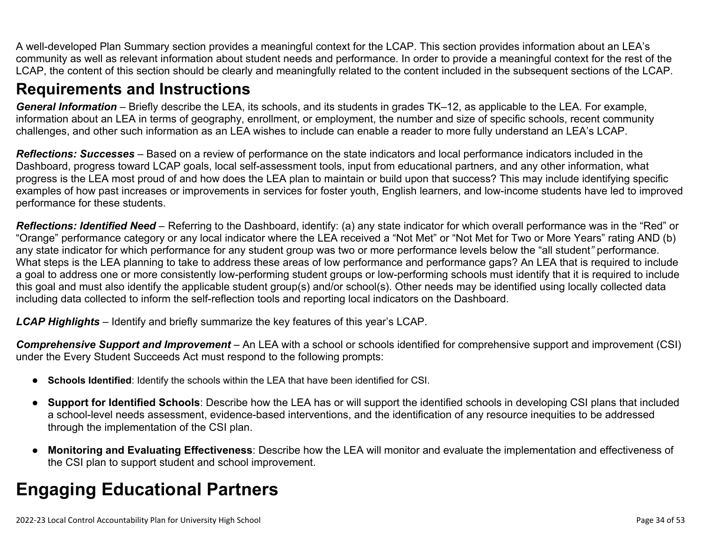A well-developed Plan Summary section provides a meaningful context for the LCAP. This section provides information about an LEA's community as well as relevant information about student needs and performance. In order to provide a meaningful context for the rest of the LCAP, the content of this section should be clearly and meaningfully related to the content included in the subsequent sections of the LCAP.

### **Requirements and Instructions**

*General Information* – Briefly describe the LEA, its schools, and its students in grades TK–12, as applicable to the LEA. For example, information about an LEA in terms of geography, enrollment, or employment, the number and size of specific schools, recent community challenges, and other such information as an LEA wishes to include can enable a reader to more fully understand an LEA's LCAP.

*Reflections: Successes* – Based on a review of performance on the state indicators and local performance indicators included in the Dashboard, progress toward LCAP goals, local self-assessment tools, input from educational partners, and any other information, what progress is the LEA most proud of and how does the LEA plan to maintain or build upon that success? This may include identifying specific examples of how past increases or improvements in services for foster youth, English learners, and low-income students have led to improved performance for these students.

*Reflections: Identified Need* – Referring to the Dashboard, identify: (a) any state indicator for which overall performance was in the "Red" or "Orange" performance category or any local indicator where the LEA received a "Not Met" or "Not Met for Two or More Years" rating AND (b) any state indicator for which performance for any student group was two or more performance levels below the "all student*"* performance. What steps is the LEA planning to take to address these areas of low performance and performance gaps? An LEA that is required to include a goal to address one or more consistently low-performing student groups or low-performing schools must identify that it is required to include this goal and must also identify the applicable student group(s) and/or school(s). Other needs may be identified using locally collected data including data collected to inform the self-reflection tools and reporting local indicators on the Dashboard.

*LCAP Highlights* – Identify and briefly summarize the key features of this year's LCAP.

*Comprehensive Support and Improvement* – An LEA with a school or schools identified for comprehensive support and improvement (CSI) under the Every Student Succeeds Act must respond to the following prompts:

- **Schools Identified**: Identify the schools within the LEA that have been identified for CSI.
- **Support for Identified Schools**: Describe how the LEA has or will support the identified schools in developing CSI plans that included a school-level needs assessment, evidence-based interventions, and the identification of any resource inequities to be addressed through the implementation of the CSI plan.
- **Monitoring and Evaluating Effectiveness**: Describe how the LEA will monitor and evaluate the implementation and effectiveness of the CSI plan to support student and school improvement.

# **Engaging Educational Partners**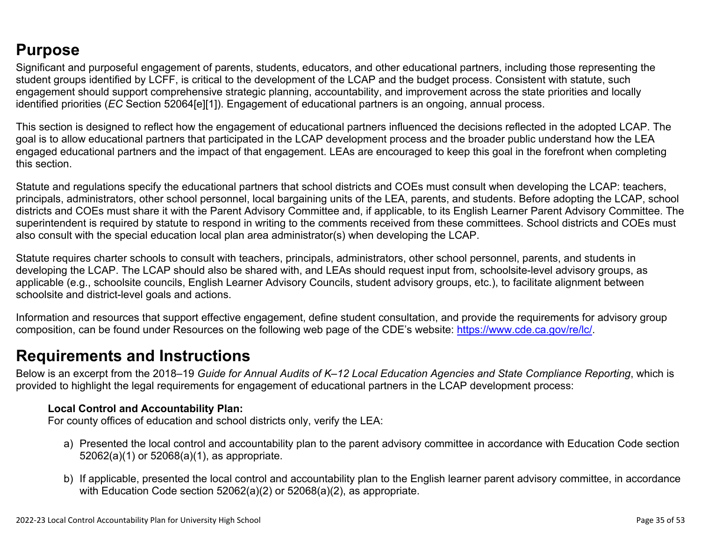### **Purpose**

Significant and purposeful engagement of parents, students, educators, and other educational partners, including those representing the student groups identified by LCFF, is critical to the development of the LCAP and the budget process. Consistent with statute, such engagement should support comprehensive strategic planning, accountability, and improvement across the state priorities and locally identified priorities (*EC* Section 52064[e][1]). Engagement of educational partners is an ongoing, annual process.

This section is designed to reflect how the engagement of educational partners influenced the decisions reflected in the adopted LCAP. The goal is to allow educational partners that participated in the LCAP development process and the broader public understand how the LEA engaged educational partners and the impact of that engagement. LEAs are encouraged to keep this goal in the forefront when completing this section.

Statute and regulations specify the educational partners that school districts and COEs must consult when developing the LCAP: teachers, principals, administrators, other school personnel, local bargaining units of the LEA, parents, and students. Before adopting the LCAP, school districts and COEs must share it with the Parent Advisory Committee and, if applicable, to its English Learner Parent Advisory Committee. The superintendent is required by statute to respond in writing to the comments received from these committees. School districts and COEs must also consult with the special education local plan area administrator(s) when developing the LCAP.

Statute requires charter schools to consult with teachers, principals, administrators, other school personnel, parents, and students in developing the LCAP. The LCAP should also be shared with, and LEAs should request input from, schoolsite-level advisory groups, as applicable (e.g., schoolsite councils, English Learner Advisory Councils, student advisory groups, etc.), to facilitate alignment between schoolsite and district-level goals and actions.

Information and resources that support effective engagement, define student consultation, and provide the requirements for advisory group composition, can be found under Resources on the following web page of the CDE's website: <https://www.cde.ca.gov/re/lc/>.

### **Requirements and Instructions**

Below is an excerpt from the 2018–19 *Guide for Annual Audits of K–12 Local Education Agencies and State Compliance Reporting*, which is provided to highlight the legal requirements for engagement of educational partners in the LCAP development process:

#### **Local Control and Accountability Plan:**

For county offices of education and school districts only, verify the LEA:

- a) Presented the local control and accountability plan to the parent advisory committee in accordance with Education Code section 52062(a)(1) or 52068(a)(1), as appropriate.
- b) If applicable, presented the local control and accountability plan to the English learner parent advisory committee, in accordance with Education Code section 52062(a)(2) or 52068(a)(2), as appropriate.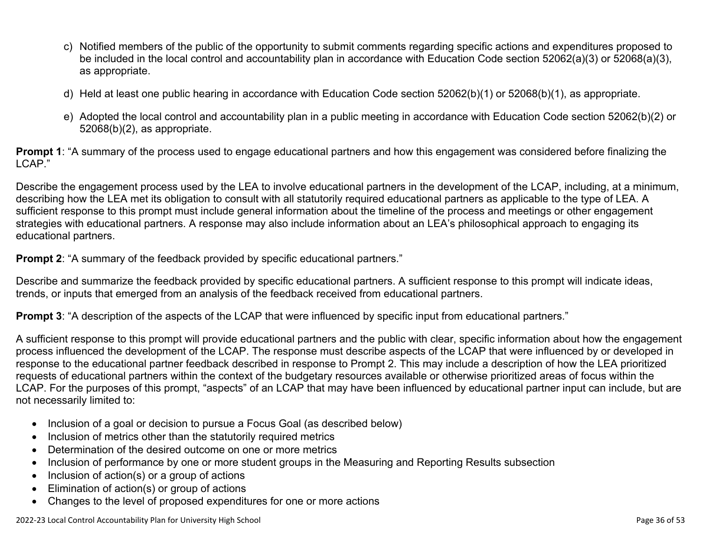- c) Notified members of the public of the opportunity to submit comments regarding specific actions and expenditures proposed to be included in the local control and accountability plan in accordance with Education Code section 52062(a)(3) or 52068(a)(3), as appropriate.
- d) Held at least one public hearing in accordance with Education Code section 52062(b)(1) or 52068(b)(1), as appropriate.
- e) Adopted the local control and accountability plan in a public meeting in accordance with Education Code section 52062(b)(2) or 52068(b)(2), as appropriate.

**Prompt 1**: "A summary of the process used to engage educational partners and how this engagement was considered before finalizing the LCAP."

Describe the engagement process used by the LEA to involve educational partners in the development of the LCAP, including, at a minimum, describing how the LEA met its obligation to consult with all statutorily required educational partners as applicable to the type of LEA. A sufficient response to this prompt must include general information about the timeline of the process and meetings or other engagement strategies with educational partners. A response may also include information about an LEA's philosophical approach to engaging its educational partners.

**Prompt 2:** "A summary of the feedback provided by specific educational partners."

Describe and summarize the feedback provided by specific educational partners. A sufficient response to this prompt will indicate ideas, trends, or inputs that emerged from an analysis of the feedback received from educational partners.

**Prompt 3**: "A description of the aspects of the LCAP that were influenced by specific input from educational partners."

A sufficient response to this prompt will provide educational partners and the public with clear, specific information about how the engagement process influenced the development of the LCAP. The response must describe aspects of the LCAP that were influenced by or developed in response to the educational partner feedback described in response to Prompt 2. This may include a description of how the LEA prioritized requests of educational partners within the context of the budgetary resources available or otherwise prioritized areas of focus within the LCAP. For the purposes of this prompt, "aspects" of an LCAP that may have been influenced by educational partner input can include, but are not necessarily limited to:

- Inclusion of a goal or decision to pursue a Focus Goal (as described below)
- Inclusion of metrics other than the statutorily required metrics
- Determination of the desired outcome on one or more metrics
- Inclusion of performance by one or more student groups in the Measuring and Reporting Results subsection
- Inclusion of action(s) or a group of actions
- Elimination of action(s) or group of actions
- Changes to the level of proposed expenditures for one or more actions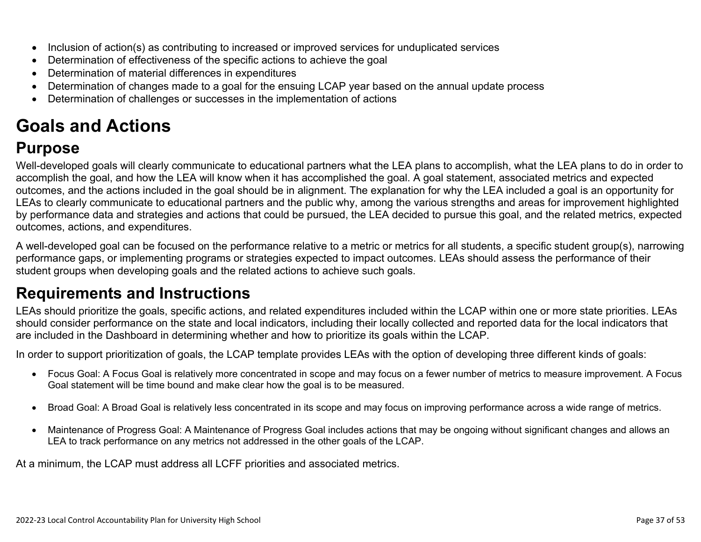- Inclusion of action(s) as contributing to increased or improved services for unduplicated services
- Determination of effectiveness of the specific actions to achieve the goal
- Determination of material differences in expenditures
- Determination of changes made to a goal for the ensuing LCAP year based on the annual update process
- Determination of challenges or successes in the implementation of actions

# **Goals and Actions**

## **Purpose**

Well-developed goals will clearly communicate to educational partners what the LEA plans to accomplish, what the LEA plans to do in order to accomplish the goal, and how the LEA will know when it has accomplished the goal. A goal statement, associated metrics and expected outcomes, and the actions included in the goal should be in alignment. The explanation for why the LEA included a goal is an opportunity for LEAs to clearly communicate to educational partners and the public why, among the various strengths and areas for improvement highlighted by performance data and strategies and actions that could be pursued, the LEA decided to pursue this goal, and the related metrics, expected outcomes, actions, and expenditures.

A well-developed goal can be focused on the performance relative to a metric or metrics for all students, a specific student group(s), narrowing performance gaps, or implementing programs or strategies expected to impact outcomes. LEAs should assess the performance of their student groups when developing goals and the related actions to achieve such goals.

## **Requirements and Instructions**

LEAs should prioritize the goals, specific actions, and related expenditures included within the LCAP within one or more state priorities. LEAs should consider performance on the state and local indicators, including their locally collected and reported data for the local indicators that are included in the Dashboard in determining whether and how to prioritize its goals within the LCAP.

In order to support prioritization of goals, the LCAP template provides LEAs with the option of developing three different kinds of goals:

- Focus Goal: A Focus Goal is relatively more concentrated in scope and may focus on a fewer number of metrics to measure improvement. A Focus Goal statement will be time bound and make clear how the goal is to be measured.
- Broad Goal: A Broad Goal is relatively less concentrated in its scope and may focus on improving performance across a wide range of metrics.
- Maintenance of Progress Goal: A Maintenance of Progress Goal includes actions that may be ongoing without significant changes and allows an LEA to track performance on any metrics not addressed in the other goals of the LCAP.

At a minimum, the LCAP must address all LCFF priorities and associated metrics.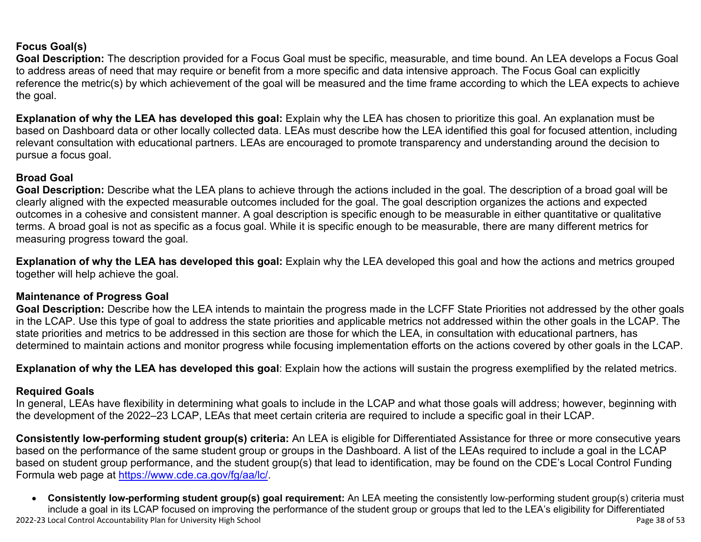#### **Focus Goal(s)**

**Goal Description:** The description provided for a Focus Goal must be specific, measurable, and time bound. An LEA develops a Focus Goal to address areas of need that may require or benefit from a more specific and data intensive approach. The Focus Goal can explicitly reference the metric(s) by which achievement of the goal will be measured and the time frame according to which the LEA expects to achieve the goal.

**Explanation of why the LEA has developed this goal:** Explain why the LEA has chosen to prioritize this goal. An explanation must be based on Dashboard data or other locally collected data. LEAs must describe how the LEA identified this goal for focused attention, including relevant consultation with educational partners. LEAs are encouraged to promote transparency and understanding around the decision to pursue a focus goal.

#### **Broad Goal**

Goal Description: Describe what the LEA plans to achieve through the actions included in the goal. The description of a broad goal will be clearly aligned with the expected measurable outcomes included for the goal. The goal description organizes the actions and expected outcomes in a cohesive and consistent manner. A goal description is specific enough to be measurable in either quantitative or qualitative terms. A broad goal is not as specific as a focus goal. While it is specific enough to be measurable, there are many different metrics for measuring progress toward the goal.

**Explanation of why the LEA has developed this goal:** Explain why the LEA developed this goal and how the actions and metrics grouped together will help achieve the goal.

#### **Maintenance of Progress Goal**

**Goal Description:** Describe how the LEA intends to maintain the progress made in the LCFF State Priorities not addressed by the other goals in the LCAP. Use this type of goal to address the state priorities and applicable metrics not addressed within the other goals in the LCAP. The state priorities and metrics to be addressed in this section are those for which the LEA, in consultation with educational partners, has determined to maintain actions and monitor progress while focusing implementation efforts on the actions covered by other goals in the LCAP.

**Explanation of why the LEA has developed this goal**: Explain how the actions will sustain the progress exemplified by the related metrics.

#### **Required Goals**

In general, LEAs have flexibility in determining what goals to include in the LCAP and what those goals will address; however, beginning with the development of the 2022–23 LCAP, LEAs that meet certain criteria are required to include a specific goal in their LCAP.

**Consistently low-performing student group(s) criteria:** An LEA is eligible for Differentiated Assistance for three or more consecutive years based on the performance of the same student group or groups in the Dashboard. A list of the LEAs required to include a goal in the LCAP based on student group performance, and the student group(s) that lead to identification, may be found on the CDE's Local Control Funding Formula web page at [https://www.cde.ca.gov/fg/aa/lc/.](https://www.cde.ca.gov/fg/aa/lc/)

2022-23 Local Control Accountability Plan for University High School Page 38 of 53 • **Consistently low-performing student group(s) goal requirement:** An LEA meeting the consistently low-performing student group(s) criteria must include a goal in its LCAP focused on improving the performance of the student group or groups that led to the LEA's eligibility for Differentiated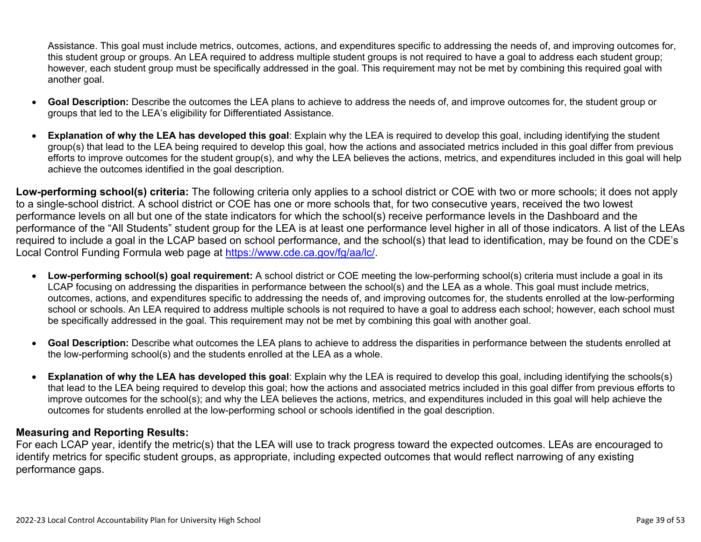Assistance. This goal must include metrics, outcomes, actions, and expenditures specific to addressing the needs of, and improving outcomes for, this student group or groups. An LEA required to address multiple student groups is not required to have a goal to address each student group; however, each student group must be specifically addressed in the goal. This requirement may not be met by combining this required goal with another goal.

- **Goal Description:** Describe the outcomes the LEA plans to achieve to address the needs of, and improve outcomes for, the student group or groups that led to the LEA's eligibility for Differentiated Assistance.
- **Explanation of why the LEA has developed this goal**: Explain why the LEA is required to develop this goal, including identifying the student group(s) that lead to the LEA being required to develop this goal, how the actions and associated metrics included in this goal differ from previous efforts to improve outcomes for the student group(s), and why the LEA believes the actions, metrics, and expenditures included in this goal will help achieve the outcomes identified in the goal description.

**Low-performing school(s) criteria:** The following criteria only applies to a school district or COE with two or more schools; it does not apply to a single-school district. A school district or COE has one or more schools that, for two consecutive years, received the two lowest performance levels on all but one of the state indicators for which the school(s) receive performance levels in the Dashboard and the performance of the "All Students" student group for the LEA is at least one performance level higher in all of those indicators. A list of the LEAs required to include a goal in the LCAP based on school performance, and the school(s) that lead to identification, may be found on the CDE's Local Control Funding Formula web page at [https://www.cde.ca.gov/fg/aa/lc/.](https://www.cde.ca.gov/fg/aa/lc/)

- **Low-performing school(s) goal requirement:** A school district or COE meeting the low-performing school(s) criteria must include a goal in its LCAP focusing on addressing the disparities in performance between the school(s) and the LEA as a whole. This goal must include metrics, outcomes, actions, and expenditures specific to addressing the needs of, and improving outcomes for, the students enrolled at the low-performing school or schools. An LEA required to address multiple schools is not required to have a goal to address each school; however, each school must be specifically addressed in the goal. This requirement may not be met by combining this goal with another goal.
- **Goal Description:** Describe what outcomes the LEA plans to achieve to address the disparities in performance between the students enrolled at the low-performing school(s) and the students enrolled at the LEA as a whole.
- **Explanation of why the LEA has developed this goal**: Explain why the LEA is required to develop this goal, including identifying the schools(s) that lead to the LEA being required to develop this goal; how the actions and associated metrics included in this goal differ from previous efforts to improve outcomes for the school(s); and why the LEA believes the actions, metrics, and expenditures included in this goal will help achieve the outcomes for students enrolled at the low-performing school or schools identified in the goal description.

#### **Measuring and Reporting Results:**

For each LCAP year, identify the metric(s) that the LEA will use to track progress toward the expected outcomes. LEAs are encouraged to identify metrics for specific student groups, as appropriate, including expected outcomes that would reflect narrowing of any existing performance gaps.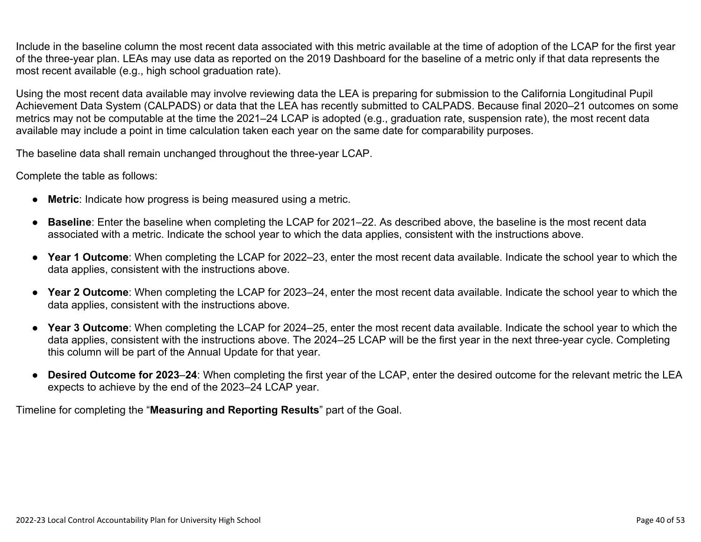Include in the baseline column the most recent data associated with this metric available at the time of adoption of the LCAP for the first year of the three-year plan. LEAs may use data as reported on the 2019 Dashboard for the baseline of a metric only if that data represents the most recent available (e.g., high school graduation rate).

Using the most recent data available may involve reviewing data the LEA is preparing for submission to the California Longitudinal Pupil Achievement Data System (CALPADS) or data that the LEA has recently submitted to CALPADS. Because final 2020–21 outcomes on some metrics may not be computable at the time the 2021–24 LCAP is adopted (e.g., graduation rate, suspension rate), the most recent data available may include a point in time calculation taken each year on the same date for comparability purposes.

The baseline data shall remain unchanged throughout the three-year LCAP.

Complete the table as follows:

- **Metric**: Indicate how progress is being measured using a metric.
- **Baseline**: Enter the baseline when completing the LCAP for 2021–22. As described above, the baseline is the most recent data associated with a metric. Indicate the school year to which the data applies, consistent with the instructions above.
- **Year 1 Outcome**: When completing the LCAP for 2022–23, enter the most recent data available. Indicate the school year to which the data applies, consistent with the instructions above.
- **Year 2 Outcome**: When completing the LCAP for 2023–24, enter the most recent data available. Indicate the school year to which the data applies, consistent with the instructions above.
- **Year 3 Outcome**: When completing the LCAP for 2024–25, enter the most recent data available. Indicate the school year to which the data applies, consistent with the instructions above. The 2024–25 LCAP will be the first year in the next three-year cycle. Completing this column will be part of the Annual Update for that year.
- **Desired Outcome for 2023**–**24**: When completing the first year of the LCAP, enter the desired outcome for the relevant metric the LEA expects to achieve by the end of the 2023–24 LCAP year.

Timeline for completing the "**Measuring and Reporting Results**" part of the Goal.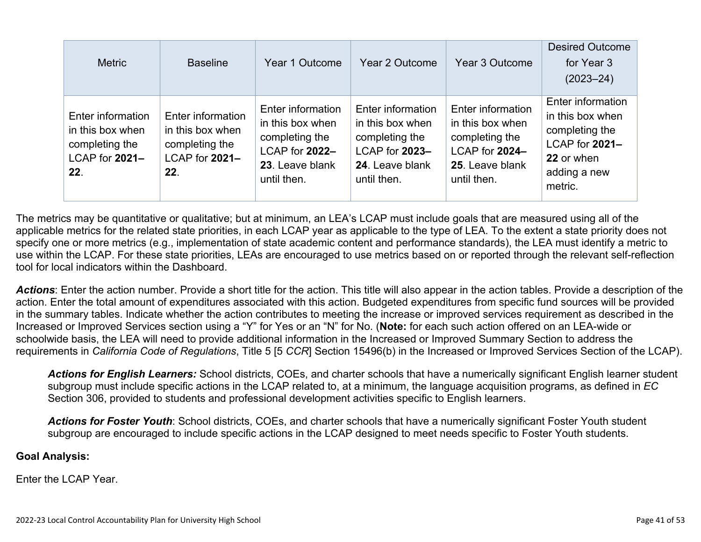| <b>Metric</b>                                                                    | <b>Baseline</b>                                                                  | Year 1 Outcome                                                                                              | Year 2 Outcome                                                                                              | Year 3 Outcome                                                                                              | <b>Desired Outcome</b><br>for Year 3<br>$(2023 - 24)$                                                              |
|----------------------------------------------------------------------------------|----------------------------------------------------------------------------------|-------------------------------------------------------------------------------------------------------------|-------------------------------------------------------------------------------------------------------------|-------------------------------------------------------------------------------------------------------------|--------------------------------------------------------------------------------------------------------------------|
| Enter information<br>in this box when<br>completing the<br>LCAP for 2021-<br>22. | Enter information<br>in this box when<br>completing the<br>LCAP for 2021-<br>22. | Enter information<br>in this box when<br>completing the<br>LCAP for 2022-<br>23. Leave blank<br>until then. | Enter information<br>in this box when<br>completing the<br>LCAP for 2023-<br>24. Leave blank<br>until then. | Enter information<br>in this box when<br>completing the<br>LCAP for 2024-<br>25. Leave blank<br>until then. | Enter information<br>in this box when<br>completing the<br>LCAP for 2021-<br>22 or when<br>adding a new<br>metric. |

The metrics may be quantitative or qualitative; but at minimum, an LEA's LCAP must include goals that are measured using all of the applicable metrics for the related state priorities, in each LCAP year as applicable to the type of LEA. To the extent a state priority does not specify one or more metrics (e.g., implementation of state academic content and performance standards), the LEA must identify a metric to use within the LCAP. For these state priorities, LEAs are encouraged to use metrics based on or reported through the relevant self-reflection tool for local indicators within the Dashboard.

*Actions*: Enter the action number. Provide a short title for the action. This title will also appear in the action tables. Provide a description of the action. Enter the total amount of expenditures associated with this action. Budgeted expenditures from specific fund sources will be provided in the summary tables. Indicate whether the action contributes to meeting the increase or improved services requirement as described in the Increased or Improved Services section using a "Y" for Yes or an "N" for No. (**Note:** for each such action offered on an LEA-wide or schoolwide basis, the LEA will need to provide additional information in the Increased or Improved Summary Section to address the requirements in *California Code of Regulations*, Title 5 [5 *CCR*] Section 15496(b) in the Increased or Improved Services Section of the LCAP).

*Actions for English Learners:* School districts, COEs, and charter schools that have a numerically significant English learner student subgroup must include specific actions in the LCAP related to, at a minimum, the language acquisition programs, as defined in *EC* Section 306, provided to students and professional development activities specific to English learners.

*Actions for Foster Youth*: School districts, COEs, and charter schools that have a numerically significant Foster Youth student subgroup are encouraged to include specific actions in the LCAP designed to meet needs specific to Foster Youth students.

#### **Goal Analysis:**

Enter the LCAP Year.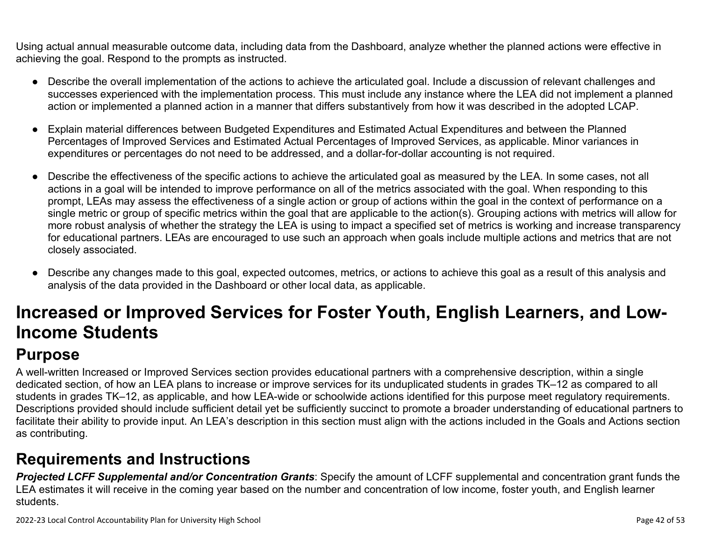Using actual annual measurable outcome data, including data from the Dashboard, analyze whether the planned actions were effective in achieving the goal. Respond to the prompts as instructed.

- Describe the overall implementation of the actions to achieve the articulated goal. Include a discussion of relevant challenges and successes experienced with the implementation process. This must include any instance where the LEA did not implement a planned action or implemented a planned action in a manner that differs substantively from how it was described in the adopted LCAP.
- Explain material differences between Budgeted Expenditures and Estimated Actual Expenditures and between the Planned Percentages of Improved Services and Estimated Actual Percentages of Improved Services, as applicable. Minor variances in expenditures or percentages do not need to be addressed, and a dollar-for-dollar accounting is not required.
- Describe the effectiveness of the specific actions to achieve the articulated goal as measured by the LEA. In some cases, not all actions in a goal will be intended to improve performance on all of the metrics associated with the goal. When responding to this prompt, LEAs may assess the effectiveness of a single action or group of actions within the goal in the context of performance on a single metric or group of specific metrics within the goal that are applicable to the action(s). Grouping actions with metrics will allow for more robust analysis of whether the strategy the LEA is using to impact a specified set of metrics is working and increase transparency for educational partners. LEAs are encouraged to use such an approach when goals include multiple actions and metrics that are not closely associated.
- Describe any changes made to this goal, expected outcomes, metrics, or actions to achieve this goal as a result of this analysis and analysis of the data provided in the Dashboard or other local data, as applicable.

# **Increased or Improved Services for Foster Youth, English Learners, and Low-Income Students**

## **Purpose**

A well-written Increased or Improved Services section provides educational partners with a comprehensive description, within a single dedicated section, of how an LEA plans to increase or improve services for its unduplicated students in grades TK–12 as compared to all students in grades TK–12, as applicable, and how LEA-wide or schoolwide actions identified for this purpose meet regulatory requirements. Descriptions provided should include sufficient detail yet be sufficiently succinct to promote a broader understanding of educational partners to facilitate their ability to provide input. An LEA's description in this section must align with the actions included in the Goals and Actions section as contributing.

## **Requirements and Instructions**

*Projected LCFF Supplemental and/or Concentration Grants*: Specify the amount of LCFF supplemental and concentration grant funds the LEA estimates it will receive in the coming year based on the number and concentration of low income, foster youth, and English learner students.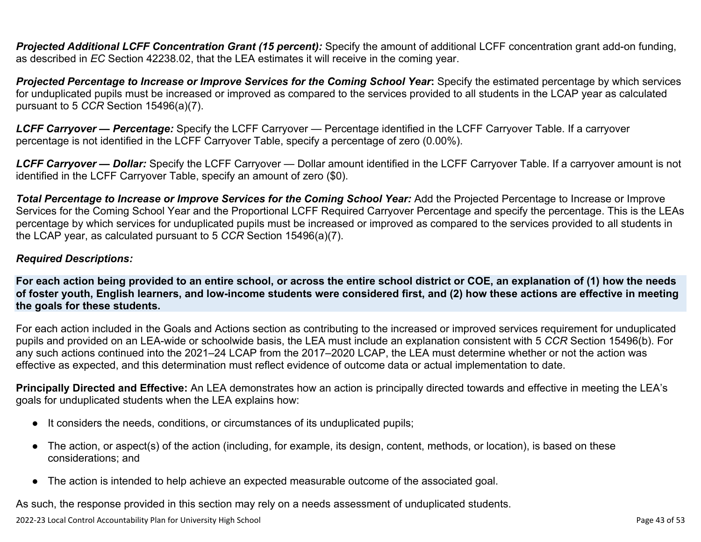**Projected Additional LCFF Concentration Grant (15 percent):** Specify the amount of additional LCFF concentration grant add-on funding, as described in *EC* Section 42238.02, that the LEA estimates it will receive in the coming year.

*Projected Percentage to Increase or Improve Services for the Coming School Year***:** Specify the estimated percentage by which services for unduplicated pupils must be increased or improved as compared to the services provided to all students in the LCAP year as calculated pursuant to 5 *CCR* Section 15496(a)(7).

*LCFF Carryover — Percentage:* Specify the LCFF Carryover — Percentage identified in the LCFF Carryover Table. If a carryover percentage is not identified in the LCFF Carryover Table, specify a percentage of zero (0.00%).

*LCFF Carryover — Dollar:* Specify the LCFF Carryover — Dollar amount identified in the LCFF Carryover Table. If a carryover amount is not identified in the LCFF Carryover Table, specify an amount of zero (\$0).

**Total Percentage to Increase or Improve Services for the Coming School Year:** Add the Projected Percentage to Increase or Improve Services for the Coming School Year and the Proportional LCFF Required Carryover Percentage and specify the percentage. This is the LEAs percentage by which services for unduplicated pupils must be increased or improved as compared to the services provided to all students in the LCAP year, as calculated pursuant to 5 *CCR* Section 15496(a)(7).

#### *Required Descriptions:*

**For each action being provided to an entire school, or across the entire school district or COE, an explanation of (1) how the needs of foster youth, English learners, and low-income students were considered first, and (2) how these actions are effective in meeting the goals for these students.**

For each action included in the Goals and Actions section as contributing to the increased or improved services requirement for unduplicated pupils and provided on an LEA-wide or schoolwide basis, the LEA must include an explanation consistent with 5 *CCR* Section 15496(b). For any such actions continued into the 2021–24 LCAP from the 2017–2020 LCAP, the LEA must determine whether or not the action was effective as expected, and this determination must reflect evidence of outcome data or actual implementation to date.

**Principally Directed and Effective:** An LEA demonstrates how an action is principally directed towards and effective in meeting the LEA's goals for unduplicated students when the LEA explains how:

- It considers the needs, conditions, or circumstances of its unduplicated pupils;
- The action, or aspect(s) of the action (including, for example, its design, content, methods, or location), is based on these considerations; and
- The action is intended to help achieve an expected measurable outcome of the associated goal.

As such, the response provided in this section may rely on a needs assessment of unduplicated students.

2022-23 Local Control Accountability Plan for University High School Page 43 of 53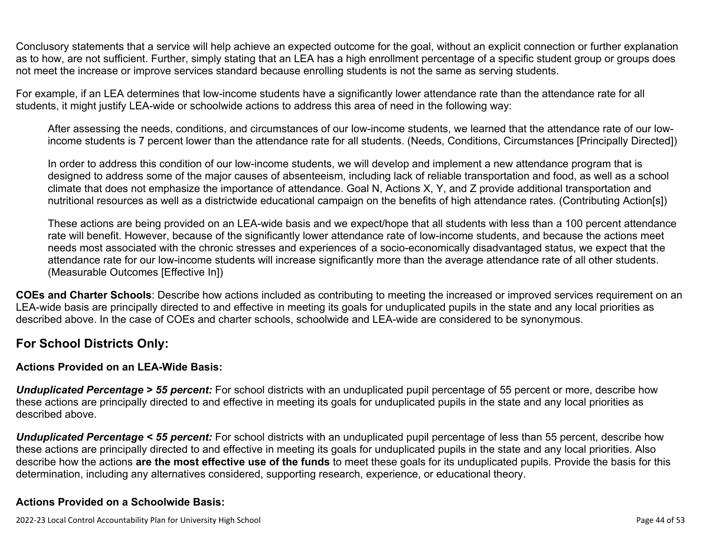Conclusory statements that a service will help achieve an expected outcome for the goal, without an explicit connection or further explanation as to how, are not sufficient. Further, simply stating that an LEA has a high enrollment percentage of a specific student group or groups does not meet the increase or improve services standard because enrolling students is not the same as serving students.

For example, if an LEA determines that low-income students have a significantly lower attendance rate than the attendance rate for all students, it might justify LEA-wide or schoolwide actions to address this area of need in the following way:

After assessing the needs, conditions, and circumstances of our low-income students, we learned that the attendance rate of our lowincome students is 7 percent lower than the attendance rate for all students. (Needs, Conditions, Circumstances [Principally Directed])

In order to address this condition of our low-income students, we will develop and implement a new attendance program that is designed to address some of the major causes of absenteeism, including lack of reliable transportation and food, as well as a school climate that does not emphasize the importance of attendance. Goal N, Actions X, Y, and Z provide additional transportation and nutritional resources as well as a districtwide educational campaign on the benefits of high attendance rates. (Contributing Action[s])

These actions are being provided on an LEA-wide basis and we expect/hope that all students with less than a 100 percent attendance rate will benefit. However, because of the significantly lower attendance rate of low-income students, and because the actions meet needs most associated with the chronic stresses and experiences of a socio-economically disadvantaged status, we expect that the attendance rate for our low-income students will increase significantly more than the average attendance rate of all other students. (Measurable Outcomes [Effective In])

**COEs and Charter Schools**: Describe how actions included as contributing to meeting the increased or improved services requirement on an LEA-wide basis are principally directed to and effective in meeting its goals for unduplicated pupils in the state and any local priorities as described above. In the case of COEs and charter schools, schoolwide and LEA-wide are considered to be synonymous.

### **For School Districts Only:**

#### **Actions Provided on an LEA-Wide Basis:**

*Unduplicated Percentage > 55 percent:* For school districts with an unduplicated pupil percentage of 55 percent or more, describe how these actions are principally directed to and effective in meeting its goals for unduplicated pupils in the state and any local priorities as described above.

*Unduplicated Percentage < 55 percent:* For school districts with an unduplicated pupil percentage of less than 55 percent, describe how these actions are principally directed to and effective in meeting its goals for unduplicated pupils in the state and any local priorities. Also describe how the actions **are the most effective use of the funds** to meet these goals for its unduplicated pupils. Provide the basis for this determination, including any alternatives considered, supporting research, experience, or educational theory.

#### **Actions Provided on a Schoolwide Basis:**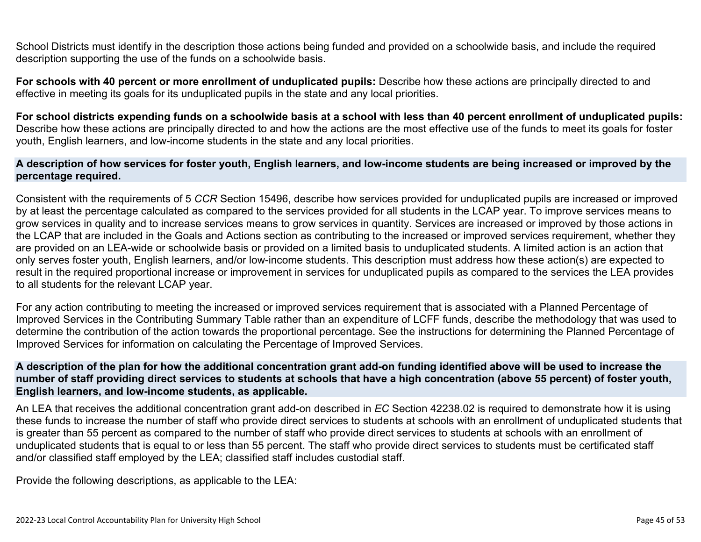School Districts must identify in the description those actions being funded and provided on a schoolwide basis, and include the required description supporting the use of the funds on a schoolwide basis.

**For schools with 40 percent or more enrollment of unduplicated pupils:** Describe how these actions are principally directed to and effective in meeting its goals for its unduplicated pupils in the state and any local priorities.

**For school districts expending funds on a schoolwide basis at a school with less than 40 percent enrollment of unduplicated pupils:** Describe how these actions are principally directed to and how the actions are the most effective use of the funds to meet its goals for foster youth, English learners, and low-income students in the state and any local priorities.

#### **A description of how services for foster youth, English learners, and low-income students are being increased or improved by the percentage required.**

Consistent with the requirements of 5 *CCR* Section 15496, describe how services provided for unduplicated pupils are increased or improved by at least the percentage calculated as compared to the services provided for all students in the LCAP year. To improve services means to grow services in quality and to increase services means to grow services in quantity. Services are increased or improved by those actions in the LCAP that are included in the Goals and Actions section as contributing to the increased or improved services requirement, whether they are provided on an LEA-wide or schoolwide basis or provided on a limited basis to unduplicated students. A limited action is an action that only serves foster youth, English learners, and/or low-income students. This description must address how these action(s) are expected to result in the required proportional increase or improvement in services for unduplicated pupils as compared to the services the LEA provides to all students for the relevant LCAP year.

For any action contributing to meeting the increased or improved services requirement that is associated with a Planned Percentage of Improved Services in the Contributing Summary Table rather than an expenditure of LCFF funds, describe the methodology that was used to determine the contribution of the action towards the proportional percentage. See the instructions for determining the Planned Percentage of Improved Services for information on calculating the Percentage of Improved Services.

#### **A description of the plan for how the additional concentration grant add-on funding identified above will be used to increase the number of staff providing direct services to students at schools that have a high concentration (above 55 percent) of foster youth, English learners, and low-income students, as applicable.**

An LEA that receives the additional concentration grant add-on described in *EC* Section 42238.02 is required to demonstrate how it is using these funds to increase the number of staff who provide direct services to students at schools with an enrollment of unduplicated students that is greater than 55 percent as compared to the number of staff who provide direct services to students at schools with an enrollment of unduplicated students that is equal to or less than 55 percent. The staff who provide direct services to students must be certificated staff and/or classified staff employed by the LEA; classified staff includes custodial staff.

Provide the following descriptions, as applicable to the LEA: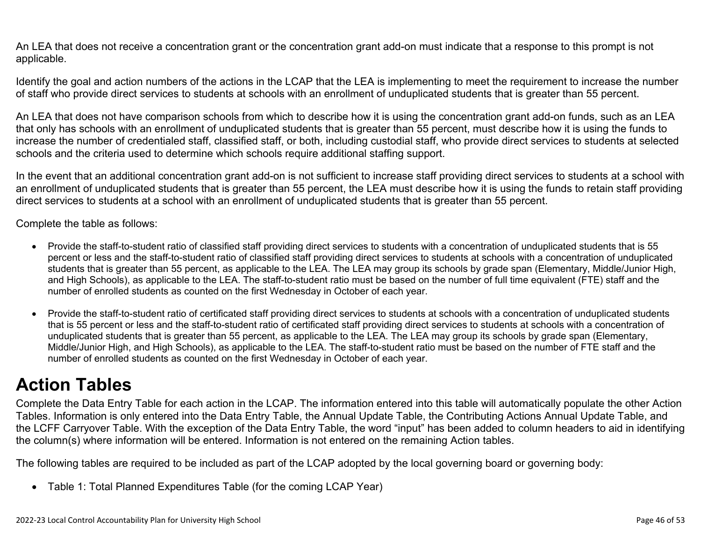An LEA that does not receive a concentration grant or the concentration grant add-on must indicate that a response to this prompt is not applicable.

Identify the goal and action numbers of the actions in the LCAP that the LEA is implementing to meet the requirement to increase the number of staff who provide direct services to students at schools with an enrollment of unduplicated students that is greater than 55 percent.

An LEA that does not have comparison schools from which to describe how it is using the concentration grant add-on funds, such as an LEA that only has schools with an enrollment of unduplicated students that is greater than 55 percent, must describe how it is using the funds to increase the number of credentialed staff, classified staff, or both, including custodial staff, who provide direct services to students at selected schools and the criteria used to determine which schools require additional staffing support.

In the event that an additional concentration grant add-on is not sufficient to increase staff providing direct services to students at a school with an enrollment of unduplicated students that is greater than 55 percent, the LEA must describe how it is using the funds to retain staff providing direct services to students at a school with an enrollment of unduplicated students that is greater than 55 percent.

Complete the table as follows:

- Provide the staff-to-student ratio of classified staff providing direct services to students with a concentration of unduplicated students that is 55 percent or less and the staff-to-student ratio of classified staff providing direct services to students at schools with a concentration of unduplicated students that is greater than 55 percent, as applicable to the LEA. The LEA may group its schools by grade span (Elementary, Middle/Junior High, and High Schools), as applicable to the LEA. The staff-to-student ratio must be based on the number of full time equivalent (FTE) staff and the number of enrolled students as counted on the first Wednesday in October of each year.
- Provide the staff-to-student ratio of certificated staff providing direct services to students at schools with a concentration of unduplicated students that is 55 percent or less and the staff-to-student ratio of certificated staff providing direct services to students at schools with a concentration of unduplicated students that is greater than 55 percent, as applicable to the LEA. The LEA may group its schools by grade span (Elementary, Middle/Junior High, and High Schools), as applicable to the LEA. The staff-to-student ratio must be based on the number of FTE staff and the number of enrolled students as counted on the first Wednesday in October of each year.

## **Action Tables**

Complete the Data Entry Table for each action in the LCAP. The information entered into this table will automatically populate the other Action Tables. Information is only entered into the Data Entry Table, the Annual Update Table, the Contributing Actions Annual Update Table, and the LCFF Carryover Table. With the exception of the Data Entry Table, the word "input" has been added to column headers to aid in identifying the column(s) where information will be entered. Information is not entered on the remaining Action tables.

The following tables are required to be included as part of the LCAP adopted by the local governing board or governing body:

• Table 1: Total Planned Expenditures Table (for the coming LCAP Year)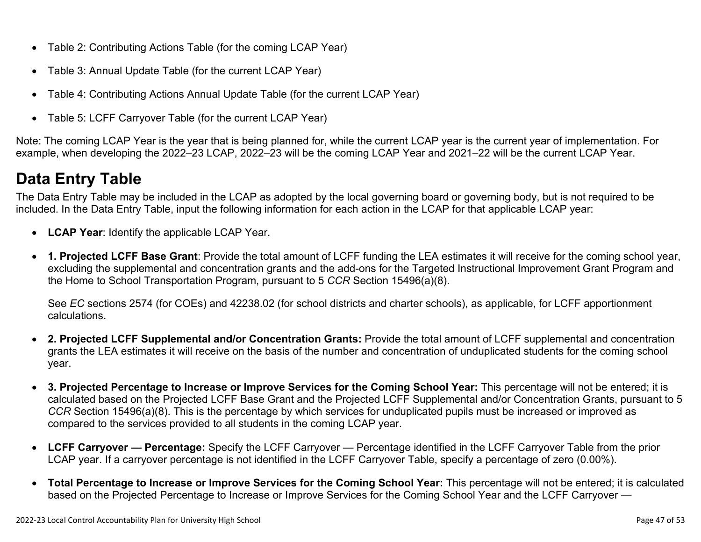- Table 2: Contributing Actions Table (for the coming LCAP Year)
- Table 3: Annual Update Table (for the current LCAP Year)
- Table 4: Contributing Actions Annual Update Table (for the current LCAP Year)
- Table 5: LCFF Carryover Table (for the current LCAP Year)

Note: The coming LCAP Year is the year that is being planned for, while the current LCAP year is the current year of implementation. For example, when developing the 2022–23 LCAP, 2022–23 will be the coming LCAP Year and 2021–22 will be the current LCAP Year.

## **Data Entry Table**

The Data Entry Table may be included in the LCAP as adopted by the local governing board or governing body, but is not required to be included. In the Data Entry Table, input the following information for each action in the LCAP for that applicable LCAP year:

- **LCAP Year**: Identify the applicable LCAP Year.
- **1. Projected LCFF Base Grant**: Provide the total amount of LCFF funding the LEA estimates it will receive for the coming school year, excluding the supplemental and concentration grants and the add-ons for the Targeted Instructional Improvement Grant Program and the Home to School Transportation Program, pursuant to 5 *CCR* Section 15496(a)(8).

See *EC* sections 2574 (for COEs) and 42238.02 (for school districts and charter schools), as applicable, for LCFF apportionment calculations.

- **2. Projected LCFF Supplemental and/or Concentration Grants:** Provide the total amount of LCFF supplemental and concentration grants the LEA estimates it will receive on the basis of the number and concentration of unduplicated students for the coming school year.
- **3. Projected Percentage to Increase or Improve Services for the Coming School Year:** This percentage will not be entered; it is calculated based on the Projected LCFF Base Grant and the Projected LCFF Supplemental and/or Concentration Grants, pursuant to 5 *CCR* Section 15496(a)(8). This is the percentage by which services for unduplicated pupils must be increased or improved as compared to the services provided to all students in the coming LCAP year.
- **LCFF Carryover Percentage:** Specify the LCFF Carryover Percentage identified in the LCFF Carryover Table from the prior LCAP year. If a carryover percentage is not identified in the LCFF Carryover Table, specify a percentage of zero (0.00%).
- **Total Percentage to Increase or Improve Services for the Coming School Year:** This percentage will not be entered; it is calculated based on the Projected Percentage to Increase or Improve Services for the Coming School Year and the LCFF Carryover —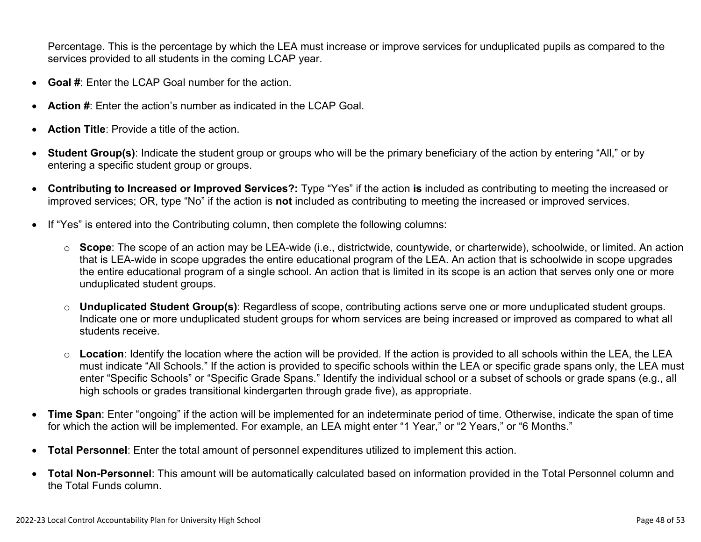Percentage. This is the percentage by which the LEA must increase or improve services for unduplicated pupils as compared to the services provided to all students in the coming LCAP year.

- **Goal #**: Enter the LCAP Goal number for the action.
- **Action #**: Enter the action's number as indicated in the LCAP Goal.
- **Action Title**: Provide a title of the action.
- **Student Group(s)**: Indicate the student group or groups who will be the primary beneficiary of the action by entering "All," or by entering a specific student group or groups.
- **Contributing to Increased or Improved Services?:** Type "Yes" if the action **is** included as contributing to meeting the increased or improved services; OR, type "No" if the action is **not** included as contributing to meeting the increased or improved services.
- If "Yes" is entered into the Contributing column, then complete the following columns:
	- o **Scope**: The scope of an action may be LEA-wide (i.e., districtwide, countywide, or charterwide), schoolwide, or limited. An action that is LEA-wide in scope upgrades the entire educational program of the LEA. An action that is schoolwide in scope upgrades the entire educational program of a single school. An action that is limited in its scope is an action that serves only one or more unduplicated student groups.
	- o **Unduplicated Student Group(s)**: Regardless of scope, contributing actions serve one or more unduplicated student groups. Indicate one or more unduplicated student groups for whom services are being increased or improved as compared to what all students receive.
	- o **Location**: Identify the location where the action will be provided. If the action is provided to all schools within the LEA, the LEA must indicate "All Schools." If the action is provided to specific schools within the LEA or specific grade spans only, the LEA must enter "Specific Schools" or "Specific Grade Spans." Identify the individual school or a subset of schools or grade spans (e.g., all high schools or grades transitional kindergarten through grade five), as appropriate.
- **Time Span**: Enter "ongoing" if the action will be implemented for an indeterminate period of time. Otherwise, indicate the span of time for which the action will be implemented. For example, an LEA might enter "1 Year," or "2 Years," or "6 Months."
- **Total Personnel**: Enter the total amount of personnel expenditures utilized to implement this action.
- **Total Non-Personnel**: This amount will be automatically calculated based on information provided in the Total Personnel column and the Total Funds column.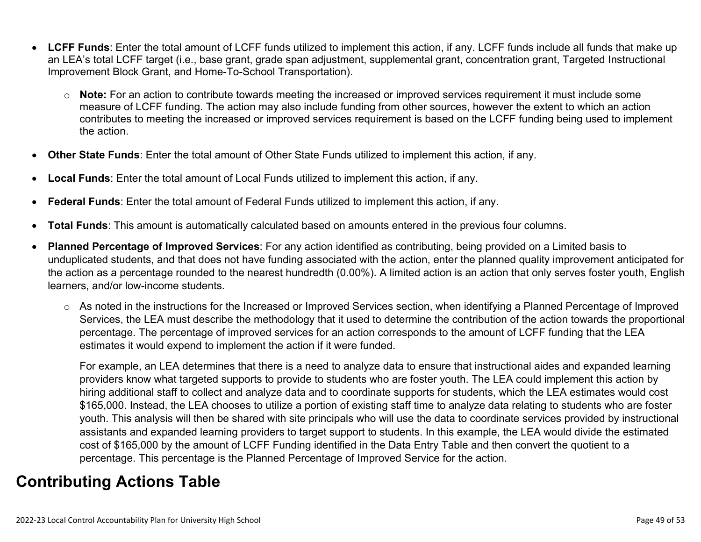- **LCFF Funds**: Enter the total amount of LCFF funds utilized to implement this action, if any. LCFF funds include all funds that make up an LEA's total LCFF target (i.e., base grant, grade span adjustment, supplemental grant, concentration grant, Targeted Instructional Improvement Block Grant, and Home-To-School Transportation).
	- o **Note:** For an action to contribute towards meeting the increased or improved services requirement it must include some measure of LCFF funding. The action may also include funding from other sources, however the extent to which an action contributes to meeting the increased or improved services requirement is based on the LCFF funding being used to implement the action.
- **Other State Funds**: Enter the total amount of Other State Funds utilized to implement this action, if any.
- **Local Funds**: Enter the total amount of Local Funds utilized to implement this action, if any.
- **Federal Funds**: Enter the total amount of Federal Funds utilized to implement this action, if any.
- **Total Funds**: This amount is automatically calculated based on amounts entered in the previous four columns.
- **Planned Percentage of Improved Services**: For any action identified as contributing, being provided on a Limited basis to unduplicated students, and that does not have funding associated with the action, enter the planned quality improvement anticipated for the action as a percentage rounded to the nearest hundredth (0.00%). A limited action is an action that only serves foster youth, English learners, and/or low-income students.
	- o As noted in the instructions for the Increased or Improved Services section, when identifying a Planned Percentage of Improved Services, the LEA must describe the methodology that it used to determine the contribution of the action towards the proportional percentage. The percentage of improved services for an action corresponds to the amount of LCFF funding that the LEA estimates it would expend to implement the action if it were funded.

For example, an LEA determines that there is a need to analyze data to ensure that instructional aides and expanded learning providers know what targeted supports to provide to students who are foster youth. The LEA could implement this action by hiring additional staff to collect and analyze data and to coordinate supports for students, which the LEA estimates would cost \$165,000. Instead, the LEA chooses to utilize a portion of existing staff time to analyze data relating to students who are foster youth. This analysis will then be shared with site principals who will use the data to coordinate services provided by instructional assistants and expanded learning providers to target support to students. In this example, the LEA would divide the estimated cost of \$165,000 by the amount of LCFF Funding identified in the Data Entry Table and then convert the quotient to a percentage. This percentage is the Planned Percentage of Improved Service for the action.

## **Contributing Actions Table**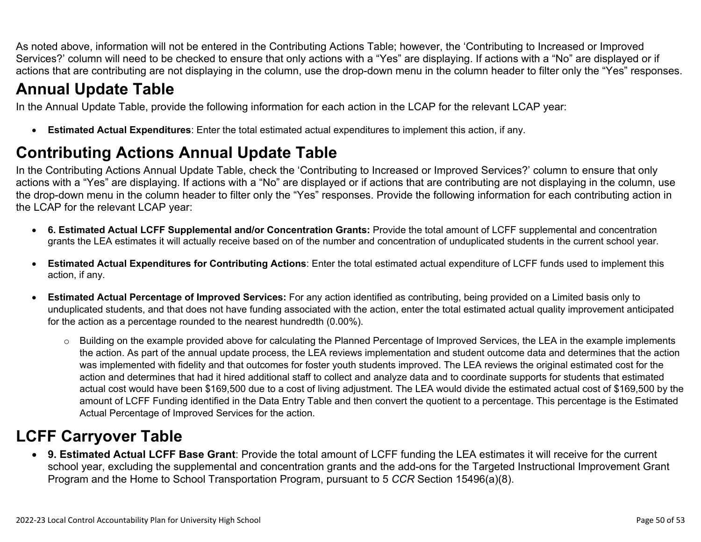As noted above, information will not be entered in the Contributing Actions Table; however, the 'Contributing to Increased or Improved Services?' column will need to be checked to ensure that only actions with a "Yes" are displaying. If actions with a "No" are displayed or if actions that are contributing are not displaying in the column, use the drop-down menu in the column header to filter only the "Yes" responses.

## **Annual Update Table**

In the Annual Update Table, provide the following information for each action in the LCAP for the relevant LCAP year:

• **Estimated Actual Expenditures**: Enter the total estimated actual expenditures to implement this action, if any.

## **Contributing Actions Annual Update Table**

In the Contributing Actions Annual Update Table, check the 'Contributing to Increased or Improved Services?' column to ensure that only actions with a "Yes" are displaying. If actions with a "No" are displayed or if actions that are contributing are not displaying in the column, use the drop-down menu in the column header to filter only the "Yes" responses. Provide the following information for each contributing action in the LCAP for the relevant LCAP year:

- **6. Estimated Actual LCFF Supplemental and/or Concentration Grants:** Provide the total amount of LCFF supplemental and concentration grants the LEA estimates it will actually receive based on of the number and concentration of unduplicated students in the current school year.
- **Estimated Actual Expenditures for Contributing Actions**: Enter the total estimated actual expenditure of LCFF funds used to implement this action, if any.
- **Estimated Actual Percentage of Improved Services:** For any action identified as contributing, being provided on a Limited basis only to unduplicated students, and that does not have funding associated with the action, enter the total estimated actual quality improvement anticipated for the action as a percentage rounded to the nearest hundredth (0.00%).
	- o Building on the example provided above for calculating the Planned Percentage of Improved Services, the LEA in the example implements the action. As part of the annual update process, the LEA reviews implementation and student outcome data and determines that the action was implemented with fidelity and that outcomes for foster youth students improved. The LEA reviews the original estimated cost for the action and determines that had it hired additional staff to collect and analyze data and to coordinate supports for students that estimated actual cost would have been \$169,500 due to a cost of living adjustment. The LEA would divide the estimated actual cost of \$169,500 by the amount of LCFF Funding identified in the Data Entry Table and then convert the quotient to a percentage. This percentage is the Estimated Actual Percentage of Improved Services for the action.

## **LCFF Carryover Table**

• **9. Estimated Actual LCFF Base Grant**: Provide the total amount of LCFF funding the LEA estimates it will receive for the current school year, excluding the supplemental and concentration grants and the add-ons for the Targeted Instructional Improvement Grant Program and the Home to School Transportation Program, pursuant to 5 *CCR* Section 15496(a)(8).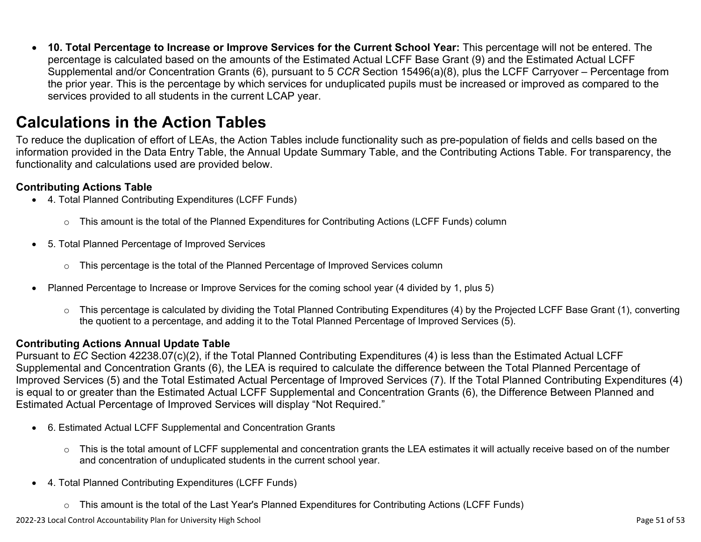• **10. Total Percentage to Increase or Improve Services for the Current School Year:** This percentage will not be entered. The percentage is calculated based on the amounts of the Estimated Actual LCFF Base Grant (9) and the Estimated Actual LCFF Supplemental and/or Concentration Grants (6), pursuant to 5 *CCR* Section 15496(a)(8), plus the LCFF Carryover – Percentage from the prior year. This is the percentage by which services for unduplicated pupils must be increased or improved as compared to the services provided to all students in the current LCAP year.

### **Calculations in the Action Tables**

To reduce the duplication of effort of LEAs, the Action Tables include functionality such as pre-population of fields and cells based on the information provided in the Data Entry Table, the Annual Update Summary Table, and the Contributing Actions Table. For transparency, the functionality and calculations used are provided below.

#### **Contributing Actions Table**

- 4. Total Planned Contributing Expenditures (LCFF Funds)
	- $\circ$  This amount is the total of the Planned Expenditures for Contributing Actions (LCFF Funds) column
- 5. Total Planned Percentage of Improved Services
	- $\circ$  This percentage is the total of the Planned Percentage of Improved Services column
- Planned Percentage to Increase or Improve Services for the coming school year (4 divided by 1, plus 5)
	- o This percentage is calculated by dividing the Total Planned Contributing Expenditures (4) by the Projected LCFF Base Grant (1), converting the quotient to a percentage, and adding it to the Total Planned Percentage of Improved Services (5).

#### **Contributing Actions Annual Update Table**

Pursuant to *EC* Section 42238.07(c)(2), if the Total Planned Contributing Expenditures (4) is less than the Estimated Actual LCFF Supplemental and Concentration Grants (6), the LEA is required to calculate the difference between the Total Planned Percentage of Improved Services (5) and the Total Estimated Actual Percentage of Improved Services (7). If the Total Planned Contributing Expenditures (4) is equal to or greater than the Estimated Actual LCFF Supplemental and Concentration Grants (6), the Difference Between Planned and Estimated Actual Percentage of Improved Services will display "Not Required."

- 6. Estimated Actual LCFF Supplemental and Concentration Grants
	- o This is the total amount of LCFF supplemental and concentration grants the LEA estimates it will actually receive based on of the number and concentration of unduplicated students in the current school year.
- 4. Total Planned Contributing Expenditures (LCFF Funds)
	- $\circ$  This amount is the total of the Last Year's Planned Expenditures for Contributing Actions (LCFF Funds)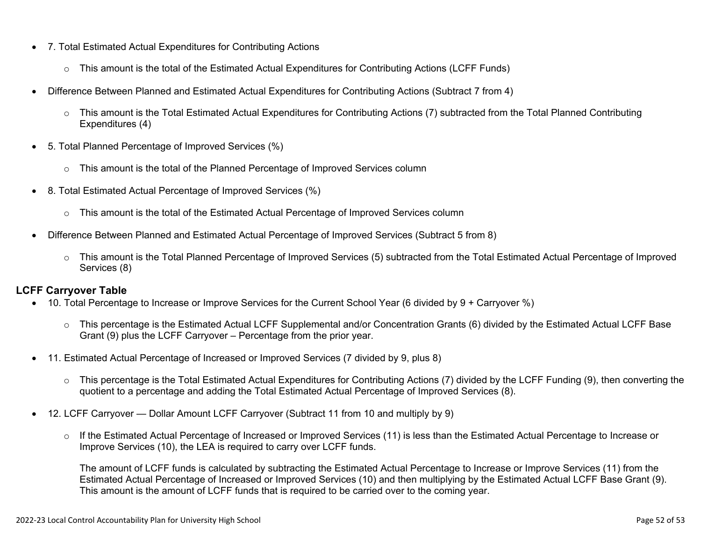- 7. Total Estimated Actual Expenditures for Contributing Actions
	- o This amount is the total of the Estimated Actual Expenditures for Contributing Actions (LCFF Funds)
- Difference Between Planned and Estimated Actual Expenditures for Contributing Actions (Subtract 7 from 4)
	- $\circ$  This amount is the Total Estimated Actual Expenditures for Contributing Actions (7) subtracted from the Total Planned Contributing Expenditures (4)
- 5. Total Planned Percentage of Improved Services (%)
	- o This amount is the total of the Planned Percentage of Improved Services column
- 8. Total Estimated Actual Percentage of Improved Services (%)
	- o This amount is the total of the Estimated Actual Percentage of Improved Services column
- Difference Between Planned and Estimated Actual Percentage of Improved Services (Subtract 5 from 8)
	- o This amount is the Total Planned Percentage of Improved Services (5) subtracted from the Total Estimated Actual Percentage of Improved Services (8)

#### **LCFF Carryover Table**

- 10. Total Percentage to Increase or Improve Services for the Current School Year (6 divided by 9 + Carryover %)
	- $\circ$  This percentage is the Estimated Actual LCFF Supplemental and/or Concentration Grants (6) divided by the Estimated Actual LCFF Base Grant (9) plus the LCFF Carryover – Percentage from the prior year.
- 11. Estimated Actual Percentage of Increased or Improved Services (7 divided by 9, plus 8)
	- o This percentage is the Total Estimated Actual Expenditures for Contributing Actions (7) divided by the LCFF Funding (9), then converting the quotient to a percentage and adding the Total Estimated Actual Percentage of Improved Services (8).
- 12. LCFF Carryover Dollar Amount LCFF Carryover (Subtract 11 from 10 and multiply by 9)
	- $\circ$  If the Estimated Actual Percentage of Increased or Improved Services (11) is less than the Estimated Actual Percentage to Increase or Improve Services (10), the LEA is required to carry over LCFF funds.

The amount of LCFF funds is calculated by subtracting the Estimated Actual Percentage to Increase or Improve Services (11) from the Estimated Actual Percentage of Increased or Improved Services (10) and then multiplying by the Estimated Actual LCFF Base Grant (9). This amount is the amount of LCFF funds that is required to be carried over to the coming year.